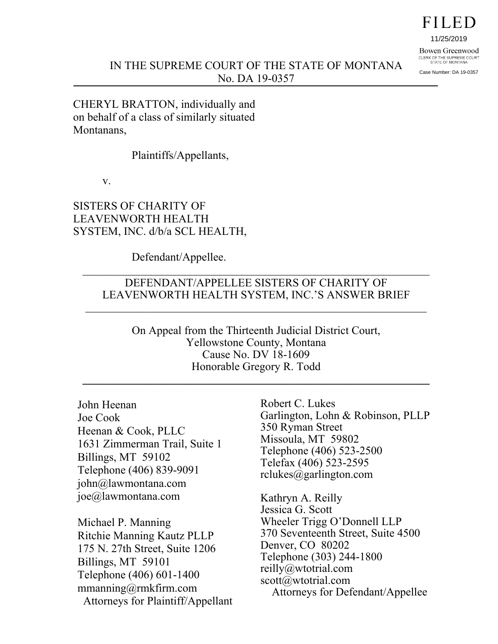# FILED

11/25/2019

Bowen Greenwood CLERK OF THE SUPREME COURT<br>STATE OF MONTANA

Case Number: DA 19-0357

CHERYL BRATTON, individually and on behalf of a class of similarly situated Montanans,

Plaintiffs/Appellants,

v.

SISTERS OF CHARITY OF LEAVENWORTH HEALTH SYSTEM, INC. d/b/a SCL HEALTH,

Defendant/Appellee.

#### DEFENDANT/APPELLEE SISTERS OF CHARITY OF LEAVENWORTH HEALTH SYSTEM, INC.'S ANSWER BRIEF

 $\_$  , and the contribution of the contribution of  $\mathcal{L}_\mathcal{A}$  , and the contribution of  $\mathcal{L}_\mathcal{A}$ 

On Appeal from the Thirteenth Judicial District Court, Yellowstone County, Montana Cause No. DV 18-1609 Honorable Gregory R. Todd

**\_\_\_\_\_\_\_\_\_\_\_\_\_\_\_\_\_\_\_\_\_\_\_\_\_\_\_\_\_\_\_\_\_\_\_\_\_\_\_\_\_\_\_\_\_\_\_\_\_\_\_\_\_\_\_\_\_\_\_\_\_** 

John Heenan Joe Cook Heenan & Cook, PLLC 1631 Zimmerman Trail, Suite 1 Billings, MT 59102 Telephone (406) 839-9091 john@lawmontana.com joe@lawmontana.com

Michael P. Manning Ritchie Manning Kautz PLLP 175 N. 27th Street, Suite 1206 Billings, MT 59101 Telephone (406) 601-1400 mmanning@rmkfirm.com Attorneys for Plaintiff/Appellant

Robert C. Lukes Garlington, Lohn & Robinson, PLLP 350 Ryman Street Missoula, MT 59802 Telephone (406) 523-2500 Telefax (406) 523-2595 rclukes@garlington.com

Kathryn A. Reilly Jessica G. Scott Wheeler Trigg O'Donnell LLP 370 Seventeenth Street, Suite 4500 Denver, CO 80202 Telephone (303) 244-1800 reilly@wtotrial.com scott@wtotrial.com Attorneys for Defendant/Appellee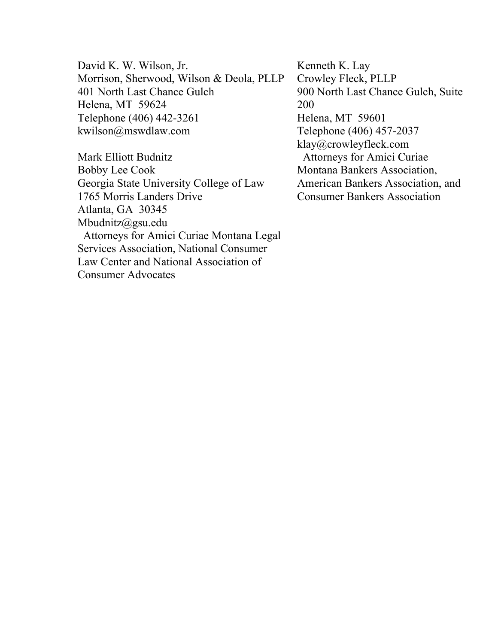David K. W. Wilson, Jr. Morrison, Sherwood, Wilson & Deola, PLLP 401 North Last Chance Gulch Helena, MT 59624 Telephone (406) 442-3261 kwilson@mswdlaw.com

Mark Elliott Budnitz Bobby Lee Cook Georgia State University College of Law 1765 Morris Landers Drive Atlanta, GA 30345 Mbudnitz@gsu.edu Attorneys for Amici Curiae Montana Legal Services Association, National Consumer Law Center and National Association of Consumer Advocates

Kenneth K. Lay Crowley Fleck, PLLP 900 North Last Chance Gulch, Suite 200 Helena, MT 59601 Telephone (406) 457-2037 klay@crowleyfleck.com Attorneys for Amici Curiae Montana Bankers Association, American Bankers Association, and Consumer Bankers Association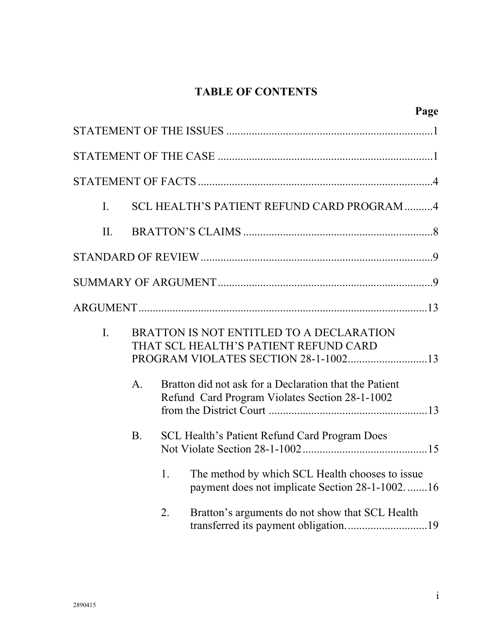## **TABLE OF CONTENTS**

|     |                |    | Page                                                                                                                      |
|-----|----------------|----|---------------------------------------------------------------------------------------------------------------------------|
|     |                |    |                                                                                                                           |
|     |                |    |                                                                                                                           |
|     |                |    |                                                                                                                           |
| I.  |                |    | SCL HEALTH'S PATIENT REFUND CARD PROGRAM 4                                                                                |
| II. |                |    |                                                                                                                           |
|     |                |    |                                                                                                                           |
|     |                |    |                                                                                                                           |
|     |                |    |                                                                                                                           |
| I.  |                |    | BRATTON IS NOT ENTITLED TO A DECLARATION<br>THAT SCL HEALTH'S PATIENT REFUND CARD<br>PROGRAM VIOLATES SECTION 28-1-100213 |
|     | $\mathbf{A}$ . |    | Bratton did not ask for a Declaration that the Patient<br>Refund Card Program Violates Section 28-1-1002                  |
|     | <b>B.</b>      |    | <b>SCL Health's Patient Refund Card Program Does</b>                                                                      |
|     |                | 1. | The method by which SCL Health chooses to issue<br>payment does not implicate Section 28-1-100216                         |
|     |                | 2. | Bratton's arguments do not show that SCL Health                                                                           |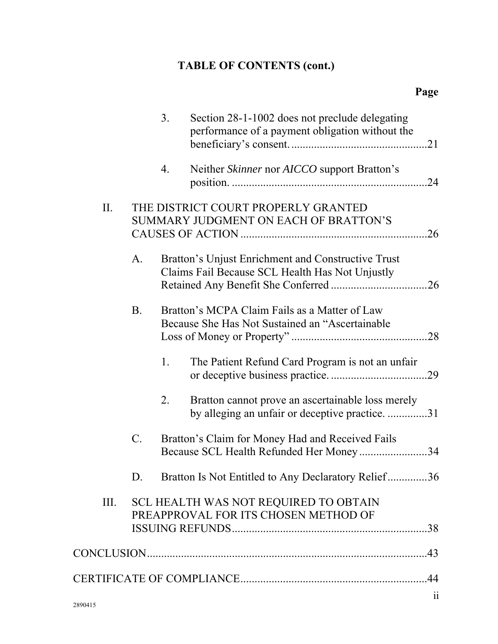# **TABLE OF CONTENTS (cont.)**

|      |           | 3. | Section 28-1-1002 does not preclude delegating<br>performance of a payment obligation without the     |                         |
|------|-----------|----|-------------------------------------------------------------------------------------------------------|-------------------------|
|      |           | 4. | Neither Skinner nor AICCO support Bratton's                                                           | .24                     |
| II.  |           |    | THE DISTRICT COURT PROPERLY GRANTED<br>SUMMARY JUDGMENT ON EACH OF BRATTON'S                          | .26                     |
|      | A.        |    | Bratton's Unjust Enrichment and Constructive Trust<br>Claims Fail Because SCL Health Has Not Unjustly |                         |
|      | <b>B.</b> |    | Bratton's MCPA Claim Fails as a Matter of Law<br>Because She Has Not Sustained an "Ascertainable"     |                         |
|      |           | 1. | The Patient Refund Card Program is not an unfair                                                      |                         |
|      |           | 2. | Bratton cannot prove an ascertainable loss merely<br>by alleging an unfair or deceptive practice. 31  |                         |
|      | C.        |    | Bratton's Claim for Money Had and Received Fails<br>Because SCL Health Refunded Her Money34           |                         |
|      | D.        |    | Bratton Is Not Entitled to Any Declaratory Relief36                                                   |                         |
| III. |           |    | SCL HEALTH WAS NOT REQUIRED TO OBTAIN<br>PREAPPROVAL FOR ITS CHOSEN METHOD OF                         |                         |
|      |           |    |                                                                                                       |                         |
|      |           |    |                                                                                                       |                         |
|      |           |    |                                                                                                       |                         |
|      |           |    |                                                                                                       | $\overline{\mathbf{1}}$ |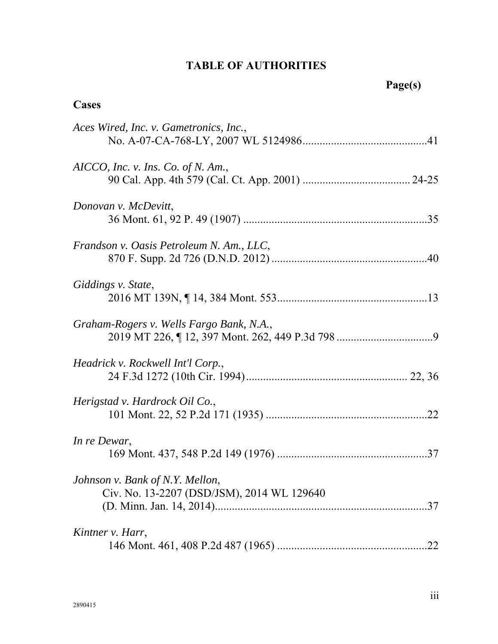## **TABLE OF AUTHORITIES**

## **Cases**

| Aces Wired, Inc. v. Gametronics, Inc.,                                        |
|-------------------------------------------------------------------------------|
| $AICCO$ , Inc. v. Ins. Co. of N. Am.,                                         |
| Donovan v. McDevitt,                                                          |
| Frandson v. Oasis Petroleum N. Am., LLC,                                      |
| Giddings v. State,                                                            |
| Graham-Rogers v. Wells Fargo Bank, N.A.,                                      |
| Headrick v. Rockwell Int'l Corp.,                                             |
| Herigstad v. Hardrock Oil Co.,                                                |
| In re Dewar,                                                                  |
| Johnson v. Bank of N.Y. Mellon,<br>Civ. No. 13-2207 (DSD/JSM), 2014 WL 129640 |
| Kintner v. Harr,<br>.22                                                       |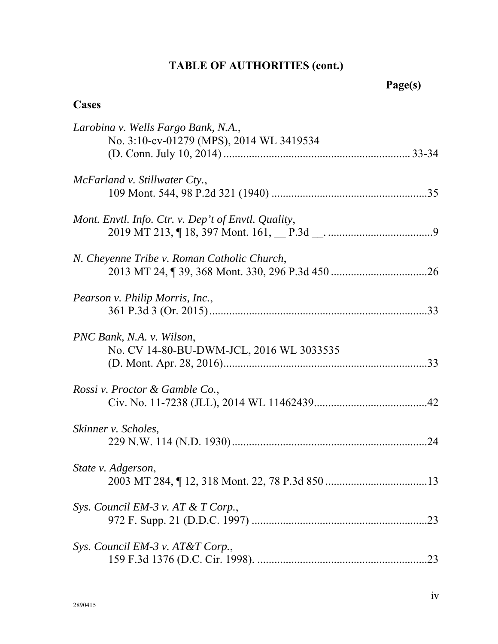# **TABLE OF AUTHORITIES (cont.)**

## **Cases**

| McFarland v. Stillwater Cty.,<br>Mont. Envtl. Info. Ctr. v. Dep't of Envtl. Quality,<br>N. Cheyenne Tribe v. Roman Catholic Church,<br>Pearson v. Philip Morris, Inc.,<br>PNC Bank, N.A. v. Wilson,<br>No. CV 14-80-BU-DWM-JCL, 2016 WL 3033535<br>Rossi v. Proctor & Gamble Co.,<br>Skinner v. Scholes,<br>State v. Adgerson,<br>Sys. Council EM-3 v. AT & T Corp.,<br>Sys. Council EM-3 v. AT&T Corp., | Larobina v. Wells Fargo Bank, N.A.,<br>No. 3:10-cv-01279 (MPS), 2014 WL 3419534 |
|----------------------------------------------------------------------------------------------------------------------------------------------------------------------------------------------------------------------------------------------------------------------------------------------------------------------------------------------------------------------------------------------------------|---------------------------------------------------------------------------------|
|                                                                                                                                                                                                                                                                                                                                                                                                          |                                                                                 |
|                                                                                                                                                                                                                                                                                                                                                                                                          |                                                                                 |
|                                                                                                                                                                                                                                                                                                                                                                                                          |                                                                                 |
|                                                                                                                                                                                                                                                                                                                                                                                                          |                                                                                 |
|                                                                                                                                                                                                                                                                                                                                                                                                          |                                                                                 |
|                                                                                                                                                                                                                                                                                                                                                                                                          |                                                                                 |
|                                                                                                                                                                                                                                                                                                                                                                                                          |                                                                                 |
|                                                                                                                                                                                                                                                                                                                                                                                                          |                                                                                 |
|                                                                                                                                                                                                                                                                                                                                                                                                          |                                                                                 |
|                                                                                                                                                                                                                                                                                                                                                                                                          |                                                                                 |
|                                                                                                                                                                                                                                                                                                                                                                                                          |                                                                                 |
|                                                                                                                                                                                                                                                                                                                                                                                                          | .23                                                                             |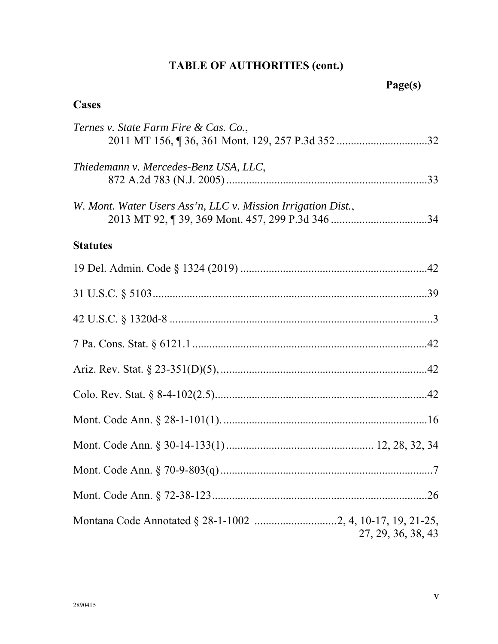# **TABLE OF AUTHORITIES (cont.)**

## **Cases**

| Ternes v. State Farm Fire & Cas. Co.,                                            |
|----------------------------------------------------------------------------------|
| Thiedemann v. Mercedes-Benz USA, LLC,                                            |
| W. Mont. Water Users Ass'n, LLC v. Mission Irrigation Dist.,                     |
| <b>Statutes</b>                                                                  |
|                                                                                  |
|                                                                                  |
|                                                                                  |
|                                                                                  |
|                                                                                  |
|                                                                                  |
|                                                                                  |
|                                                                                  |
|                                                                                  |
|                                                                                  |
| Montana Code Annotated § 28-1-1002 2, 4, 10-17, 19, 21-25,<br>27, 29, 36, 38, 43 |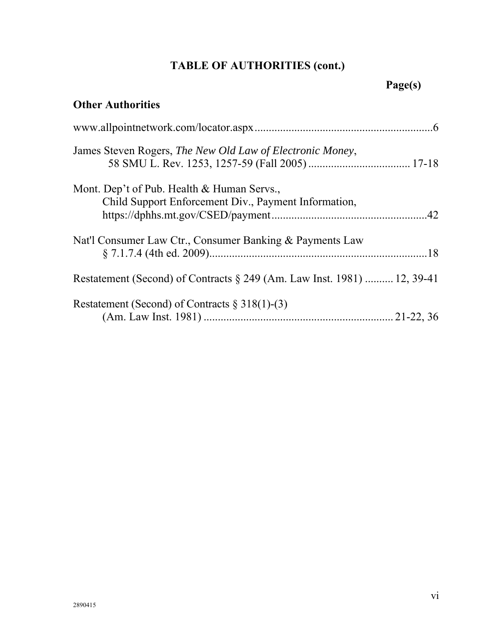# **TABLE OF AUTHORITIES (cont.)**

# **Page(s)**

## **Other Authorities**

| James Steven Rogers, The New Old Law of Electronic Money,                  |  |
|----------------------------------------------------------------------------|--|
| Mont. Dep't of Pub. Health & Human Servs.,                                 |  |
| Child Support Enforcement Div., Payment Information,                       |  |
|                                                                            |  |
| Nat'l Consumer Law Ctr., Consumer Banking & Payments Law                   |  |
|                                                                            |  |
| Restatement (Second) of Contracts $\S 249$ (Am. Law Inst. 1981)  12, 39-41 |  |
| Restatement (Second) of Contracts $\S 318(1)$ -(3)                         |  |
|                                                                            |  |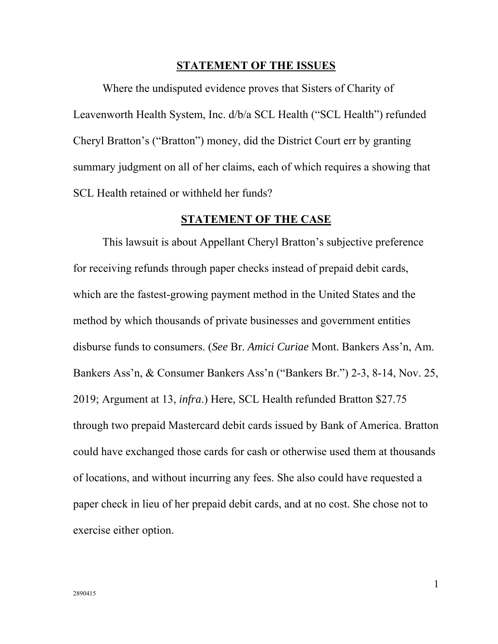#### **STATEMENT OF THE ISSUES**

Where the undisputed evidence proves that Sisters of Charity of Leavenworth Health System, Inc. d/b/a SCL Health ("SCL Health") refunded Cheryl Bratton's ("Bratton") money, did the District Court err by granting summary judgment on all of her claims, each of which requires a showing that SCL Health retained or withheld her funds?

#### **STATEMENT OF THE CASE**

This lawsuit is about Appellant Cheryl Bratton's subjective preference for receiving refunds through paper checks instead of prepaid debit cards, which are the fastest-growing payment method in the United States and the method by which thousands of private businesses and government entities disburse funds to consumers. (*See* Br. *Amici Curiae* Mont. Bankers Ass'n, Am. Bankers Ass'n, & Consumer Bankers Ass'n ("Bankers Br.") 2-3, 8-14, Nov. 25, 2019; Argument at 13, *infra*.) Here, SCL Health refunded Bratton \$27.75 through two prepaid Mastercard debit cards issued by Bank of America. Bratton could have exchanged those cards for cash or otherwise used them at thousands of locations, and without incurring any fees. She also could have requested a paper check in lieu of her prepaid debit cards, and at no cost. She chose not to exercise either option.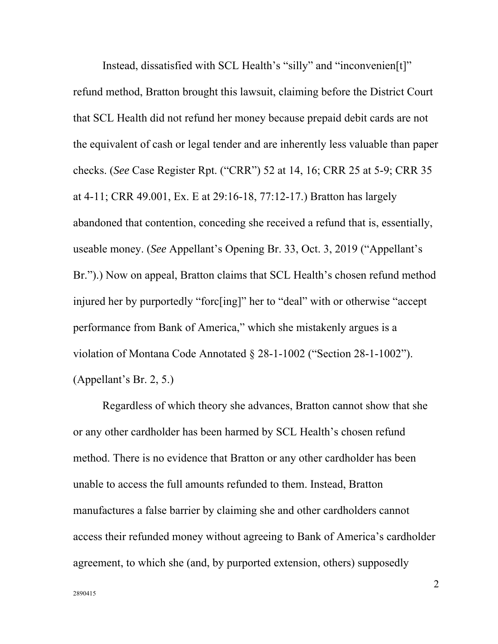Instead, dissatisfied with SCL Health's "silly" and "inconvenien[t]" refund method, Bratton brought this lawsuit, claiming before the District Court that SCL Health did not refund her money because prepaid debit cards are not the equivalent of cash or legal tender and are inherently less valuable than paper checks. (*See* Case Register Rpt. ("CRR") 52 at 14, 16; CRR 25 at 5-9; CRR 35 at 4-11; CRR 49.001, Ex. E at 29:16-18, 77:12-17.) Bratton has largely abandoned that contention, conceding she received a refund that is, essentially, useable money. (*See* Appellant's Opening Br. 33, Oct. 3, 2019 ("Appellant's Br.").) Now on appeal, Bratton claims that SCL Health's chosen refund method injured her by purportedly "forc[ing]" her to "deal" with or otherwise "accept performance from Bank of America," which she mistakenly argues is a violation of Montana Code Annotated § 28-1-1002 ("Section 28-1-1002"). (Appellant's Br. 2, 5.)

Regardless of which theory she advances, Bratton cannot show that she or any other cardholder has been harmed by SCL Health's chosen refund method. There is no evidence that Bratton or any other cardholder has been unable to access the full amounts refunded to them. Instead, Bratton manufactures a false barrier by claiming she and other cardholders cannot access their refunded money without agreeing to Bank of America's cardholder agreement, to which she (and, by purported extension, others) supposedly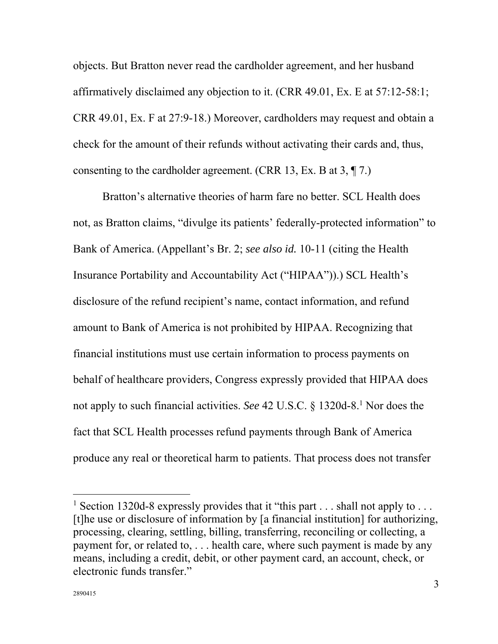objects. But Bratton never read the cardholder agreement, and her husband affirmatively disclaimed any objection to it. (CRR 49.01, Ex. E at 57:12-58:1; CRR 49.01, Ex. F at 27:9-18.) Moreover, cardholders may request and obtain a check for the amount of their refunds without activating their cards and, thus, consenting to the cardholder agreement. (CRR 13, Ex. B at 3, ¶ 7.)

Bratton's alternative theories of harm fare no better. SCL Health does not, as Bratton claims, "divulge its patients' federally-protected information" to Bank of America. (Appellant's Br. 2; *see also id.* 10-11 (citing the Health Insurance Portability and Accountability Act ("HIPAA")).) SCL Health's disclosure of the refund recipient's name, contact information, and refund amount to Bank of America is not prohibited by HIPAA. Recognizing that financial institutions must use certain information to process payments on behalf of healthcare providers, Congress expressly provided that HIPAA does not apply to such financial activities. *See* 42 U.S.C. § 1320d-8.1 Nor does the fact that SCL Health processes refund payments through Bank of America produce any real or theoretical harm to patients. That process does not transfer

<sup>&</sup>lt;sup>1</sup> Section 1320d-8 expressly provides that it "this part  $\dots$  shall not apply to  $\dots$ [t]he use or disclosure of information by [a financial institution] for authorizing, processing, clearing, settling, billing, transferring, reconciling or collecting, a payment for, or related to, . . . health care, where such payment is made by any means, including a credit, debit, or other payment card, an account, check, or electronic funds transfer."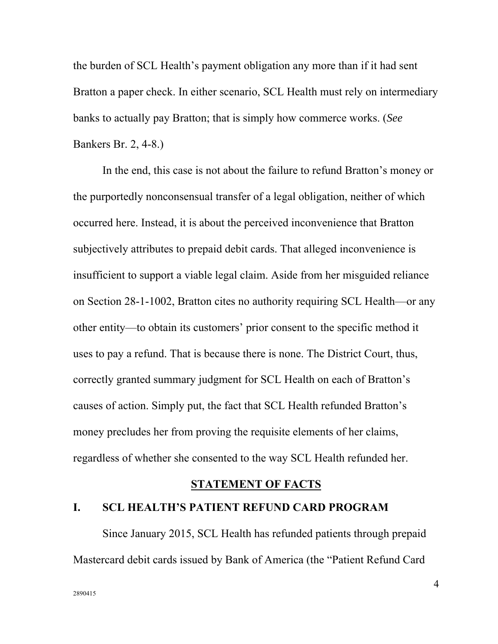the burden of SCL Health's payment obligation any more than if it had sent Bratton a paper check. In either scenario, SCL Health must rely on intermediary banks to actually pay Bratton; that is simply how commerce works. (*See* Bankers Br. 2, 4-8.)

In the end, this case is not about the failure to refund Bratton's money or the purportedly nonconsensual transfer of a legal obligation, neither of which occurred here. Instead, it is about the perceived inconvenience that Bratton subjectively attributes to prepaid debit cards. That alleged inconvenience is insufficient to support a viable legal claim. Aside from her misguided reliance on Section 28-1-1002, Bratton cites no authority requiring SCL Health—or any other entity—to obtain its customers' prior consent to the specific method it uses to pay a refund. That is because there is none. The District Court, thus, correctly granted summary judgment for SCL Health on each of Bratton's causes of action. Simply put, the fact that SCL Health refunded Bratton's money precludes her from proving the requisite elements of her claims, regardless of whether she consented to the way SCL Health refunded her.

#### **STATEMENT OF FACTS**

#### **I. SCL HEALTH'S PATIENT REFUND CARD PROGRAM**

Since January 2015, SCL Health has refunded patients through prepaid Mastercard debit cards issued by Bank of America (the "Patient Refund Card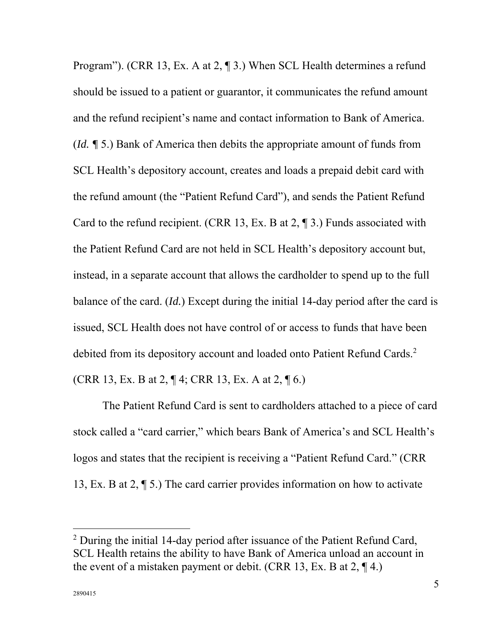Program"). (CRR 13, Ex. A at 2, ¶ 3.) When SCL Health determines a refund should be issued to a patient or guarantor, it communicates the refund amount and the refund recipient's name and contact information to Bank of America. (*Id. ¶* 5.) Bank of America then debits the appropriate amount of funds from SCL Health's depository account, creates and loads a prepaid debit card with the refund amount (the "Patient Refund Card"), and sends the Patient Refund Card to the refund recipient. (CRR 13, Ex. B at 2, ¶ 3.) Funds associated with the Patient Refund Card are not held in SCL Health's depository account but, instead, in a separate account that allows the cardholder to spend up to the full balance of the card. (*Id.*) Except during the initial 14-day period after the card is issued, SCL Health does not have control of or access to funds that have been debited from its depository account and loaded onto Patient Refund Cards.<sup>2</sup> (CRR 13, Ex. B at 2,  $\P$  4; CRR 13, Ex. A at 2,  $\P$  6.)

The Patient Refund Card is sent to cardholders attached to a piece of card stock called a "card carrier," which bears Bank of America's and SCL Health's logos and states that the recipient is receiving a "Patient Refund Card." (CRR 13, Ex. B at 2, ¶ 5.) The card carrier provides information on how to activate

<sup>&</sup>lt;sup>2</sup> During the initial 14-day period after issuance of the Patient Refund Card, SCL Health retains the ability to have Bank of America unload an account in the event of a mistaken payment or debit. (CRR 13, Ex. B at  $2$ ,  $\P$  4.)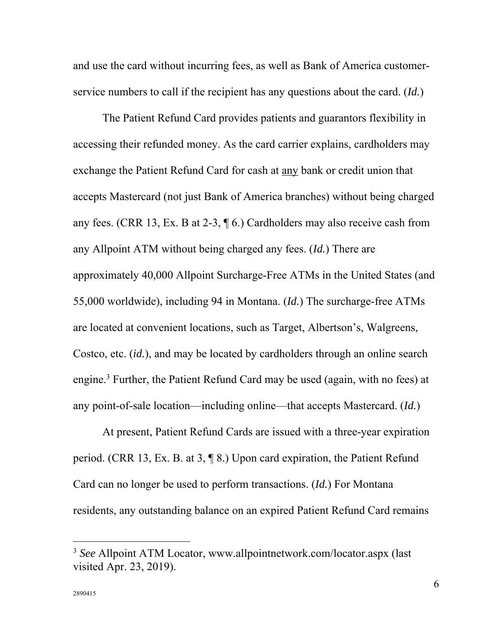and use the card without incurring fees, as well as Bank of America customerservice numbers to call if the recipient has any questions about the card. (*Id.*)

The Patient Refund Card provides patients and guarantors flexibility in accessing their refunded money. As the card carrier explains, cardholders may exchange the Patient Refund Card for cash at any bank or credit union that accepts Mastercard (not just Bank of America branches) without being charged any fees. (CRR 13, Ex. B at 2-3, ¶ 6.) Cardholders may also receive cash from any Allpoint ATM without being charged any fees. (*Id.*) There are approximately 40,000 Allpoint Surcharge-Free ATMs in the United States (and 55,000 worldwide), including 94 in Montana. (*Id.*) The surcharge-free ATMs are located at convenient locations, such as Target, Albertson's, Walgreens, Costco, etc. (*id.*), and may be located by cardholders through an online search engine.<sup>3</sup> Further, the Patient Refund Card may be used (again, with no fees) at any point-of-sale location—including online—that accepts Mastercard. (*Id.*)

At present, Patient Refund Cards are issued with a three-year expiration period. (CRR 13, Ex. B. at 3, ¶ 8.) Upon card expiration, the Patient Refund Card can no longer be used to perform transactions. (*Id.*) For Montana residents, any outstanding balance on an expired Patient Refund Card remains

<sup>3</sup> *See* Allpoint ATM Locator, www.allpointnetwork.com/locator.aspx (last visited Apr. 23, 2019).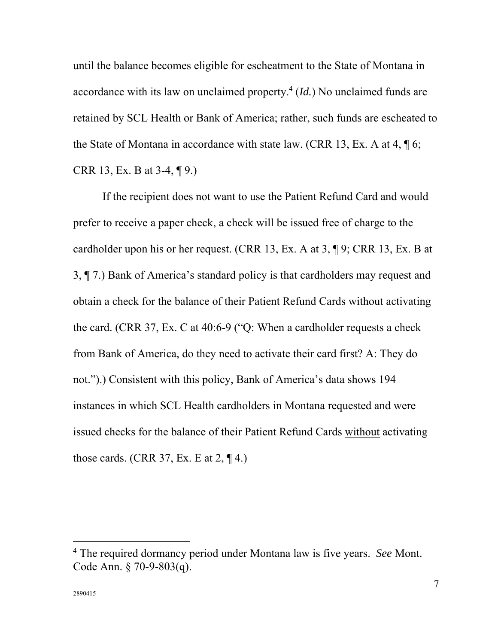until the balance becomes eligible for escheatment to the State of Montana in accordance with its law on unclaimed property.<sup>4</sup> (*Id*.) No unclaimed funds are retained by SCL Health or Bank of America; rather, such funds are escheated to the State of Montana in accordance with state law. (CRR 13, Ex. A at 4,  $\P$  6; CRR 13, Ex. B at 3-4, ¶ 9.)

If the recipient does not want to use the Patient Refund Card and would prefer to receive a paper check, a check will be issued free of charge to the cardholder upon his or her request. (CRR 13, Ex. A at 3, ¶ 9; CRR 13, Ex. B at 3, ¶ 7.) Bank of America's standard policy is that cardholders may request and obtain a check for the balance of their Patient Refund Cards without activating the card. (CRR 37, Ex. C at 40:6-9 ("Q: When a cardholder requests a check from Bank of America, do they need to activate their card first? A: They do not.").) Consistent with this policy, Bank of America's data shows 194 instances in which SCL Health cardholders in Montana requested and were issued checks for the balance of their Patient Refund Cards without activating those cards. (CRR 37, Ex. E at  $2$ ,  $\P$  4.)

<sup>4</sup> The required dormancy period under Montana law is five years. *See* Mont. Code Ann. § 70-9-803(q).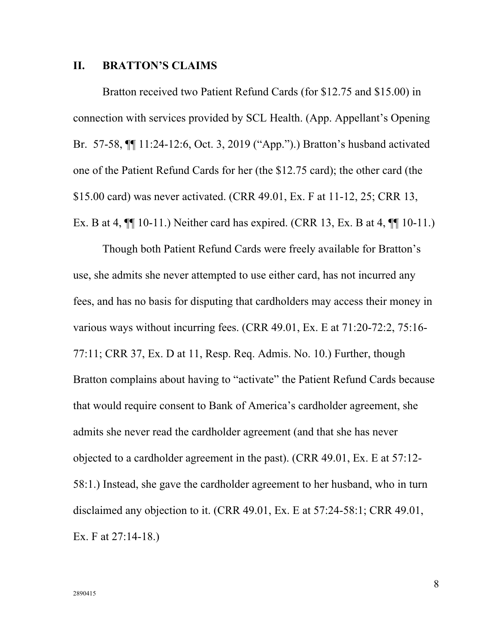#### **II. BRATTON'S CLAIMS**

Bratton received two Patient Refund Cards (for \$12.75 and \$15.00) in connection with services provided by SCL Health. (App. Appellant's Opening Br. 57-58, ¶¶ 11:24-12:6, Oct. 3, 2019 ("App.").) Bratton's husband activated one of the Patient Refund Cards for her (the \$12.75 card); the other card (the \$15.00 card) was never activated. (CRR 49.01, Ex. F at 11-12, 25; CRR 13, Ex. B at 4,  $\P$ [10-11.) Neither card has expired. (CRR 13, Ex. B at 4,  $\P$ [10-11.)

Though both Patient Refund Cards were freely available for Bratton's use, she admits she never attempted to use either card, has not incurred any fees, and has no basis for disputing that cardholders may access their money in various ways without incurring fees. (CRR 49.01, Ex. E at 71:20-72:2, 75:16- 77:11; CRR 37, Ex. D at 11, Resp. Req. Admis. No. 10.) Further, though Bratton complains about having to "activate" the Patient Refund Cards because that would require consent to Bank of America's cardholder agreement, she admits she never read the cardholder agreement (and that she has never objected to a cardholder agreement in the past). (CRR 49.01, Ex. E at 57:12- 58:1.) Instead, she gave the cardholder agreement to her husband, who in turn disclaimed any objection to it. (CRR 49.01, Ex. E at 57:24-58:1; CRR 49.01, Ex. F at 27:14-18.)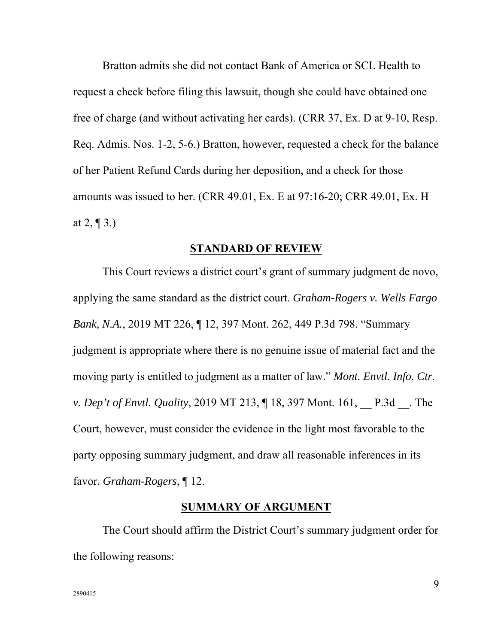Bratton admits she did not contact Bank of America or SCL Health to request a check before filing this lawsuit, though she could have obtained one free of charge (and without activating her cards). (CRR 37, Ex. D at 9-10, Resp. Req. Admis. Nos. 1-2, 5-6.) Bratton, however, requested a check for the balance of her Patient Refund Cards during her deposition, and a check for those amounts was issued to her. (CRR 49.01, Ex. E at 97:16-20; CRR 49.01, Ex. H at  $2, \P 3.$ )

#### **STANDARD OF REVIEW**

This Court reviews a district court's grant of summary judgment de novo, applying the same standard as the district court. *Graham-Rogers v. Wells Fargo Bank, N.A.*, 2019 MT 226, ¶ 12, 397 Mont. 262, 449 P.3d 798. "Summary judgment is appropriate where there is no genuine issue of material fact and the moving party is entitled to judgment as a matter of law." *Mont. Envtl. Info. Ctr. v. Dep't of Envtl. Quality,* 2019 MT 213,  $\P$  18, 397 Mont. 161, P.3d . The Court, however, must consider the evidence in the light most favorable to the party opposing summary judgment, and draw all reasonable inferences in its favor. *Graham-Rogers*, ¶ 12.

#### **SUMMARY OF ARGUMENT**

The Court should affirm the District Court's summary judgment order for the following reasons: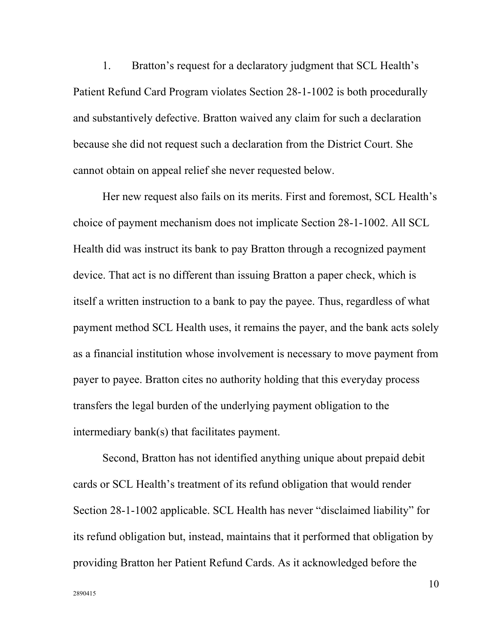1. Bratton's request for a declaratory judgment that SCL Health's Patient Refund Card Program violates Section 28-1-1002 is both procedurally and substantively defective. Bratton waived any claim for such a declaration because she did not request such a declaration from the District Court. She cannot obtain on appeal relief she never requested below.

Her new request also fails on its merits. First and foremost, SCL Health's choice of payment mechanism does not implicate Section 28-1-1002. All SCL Health did was instruct its bank to pay Bratton through a recognized payment device. That act is no different than issuing Bratton a paper check, which is itself a written instruction to a bank to pay the payee. Thus, regardless of what payment method SCL Health uses, it remains the payer, and the bank acts solely as a financial institution whose involvement is necessary to move payment from payer to payee. Bratton cites no authority holding that this everyday process transfers the legal burden of the underlying payment obligation to the intermediary bank(s) that facilitates payment.

Second, Bratton has not identified anything unique about prepaid debit cards or SCL Health's treatment of its refund obligation that would render Section 28-1-1002 applicable. SCL Health has never "disclaimed liability" for its refund obligation but, instead, maintains that it performed that obligation by providing Bratton her Patient Refund Cards. As it acknowledged before the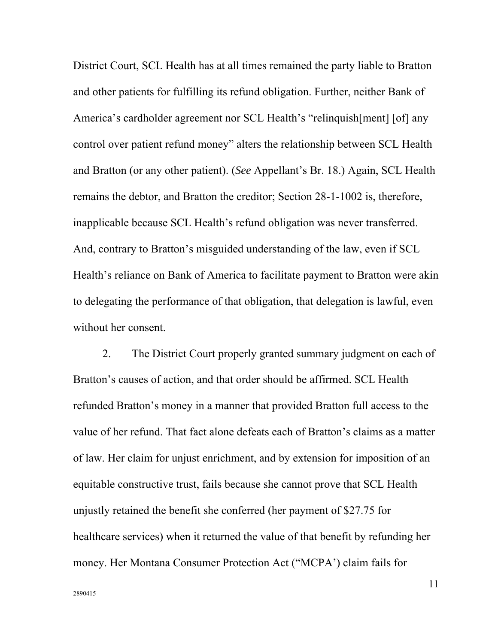District Court, SCL Health has at all times remained the party liable to Bratton and other patients for fulfilling its refund obligation. Further, neither Bank of America's cardholder agreement nor SCL Health's "relinquish[ment] [of] any control over patient refund money" alters the relationship between SCL Health and Bratton (or any other patient). (*See* Appellant's Br. 18.) Again, SCL Health remains the debtor, and Bratton the creditor; Section 28-1-1002 is, therefore, inapplicable because SCL Health's refund obligation was never transferred. And, contrary to Bratton's misguided understanding of the law, even if SCL Health's reliance on Bank of America to facilitate payment to Bratton were akin to delegating the performance of that obligation, that delegation is lawful, even without her consent.

2. The District Court properly granted summary judgment on each of Bratton's causes of action, and that order should be affirmed. SCL Health refunded Bratton's money in a manner that provided Bratton full access to the value of her refund. That fact alone defeats each of Bratton's claims as a matter of law. Her claim for unjust enrichment, and by extension for imposition of an equitable constructive trust, fails because she cannot prove that SCL Health unjustly retained the benefit she conferred (her payment of \$27.75 for healthcare services) when it returned the value of that benefit by refunding her money. Her Montana Consumer Protection Act ("MCPA') claim fails for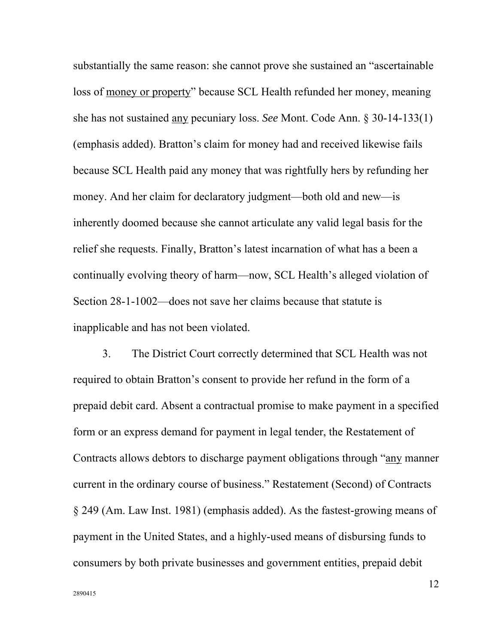substantially the same reason: she cannot prove she sustained an "ascertainable loss of money or property" because SCL Health refunded her money, meaning she has not sustained any pecuniary loss. *See* Mont. Code Ann. § 30-14-133(1) (emphasis added). Bratton's claim for money had and received likewise fails because SCL Health paid any money that was rightfully hers by refunding her money. And her claim for declaratory judgment—both old and new—is inherently doomed because she cannot articulate any valid legal basis for the relief she requests. Finally, Bratton's latest incarnation of what has a been a continually evolving theory of harm—now, SCL Health's alleged violation of Section 28-1-1002—does not save her claims because that statute is inapplicable and has not been violated.

3. The District Court correctly determined that SCL Health was not required to obtain Bratton's consent to provide her refund in the form of a prepaid debit card. Absent a contractual promise to make payment in a specified form or an express demand for payment in legal tender, the Restatement of Contracts allows debtors to discharge payment obligations through "any manner current in the ordinary course of business." Restatement (Second) of Contracts § 249 (Am. Law Inst. 1981) (emphasis added). As the fastest-growing means of payment in the United States, and a highly-used means of disbursing funds to consumers by both private businesses and government entities, prepaid debit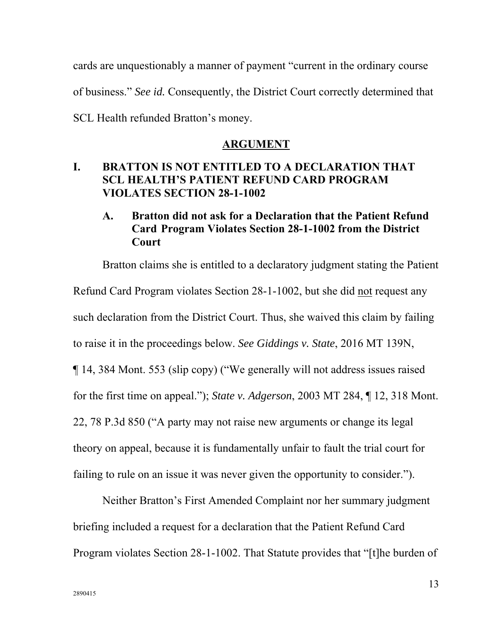cards are unquestionably a manner of payment "current in the ordinary course of business." *See id.* Consequently, the District Court correctly determined that SCL Health refunded Bratton's money.

#### **ARGUMENT**

## **I. BRATTON IS NOT ENTITLED TO A DECLARATION THAT SCL HEALTH'S PATIENT REFUND CARD PROGRAM VIOLATES SECTION 28-1-1002**

## **A. Bratton did not ask for a Declaration that the Patient Refund Card Program Violates Section 28-1-1002 from the District Court**

Bratton claims she is entitled to a declaratory judgment stating the Patient Refund Card Program violates Section 28-1-1002, but she did not request any such declaration from the District Court. Thus, she waived this claim by failing to raise it in the proceedings below. *See Giddings v. State*, 2016 MT 139N, ¶ 14, 384 Mont. 553 (slip copy) ("We generally will not address issues raised for the first time on appeal."); *State v. Adgerson*, 2003 MT 284, ¶ 12, 318 Mont. 22, 78 P.3d 850 ("A party may not raise new arguments or change its legal theory on appeal, because it is fundamentally unfair to fault the trial court for failing to rule on an issue it was never given the opportunity to consider.").

Neither Bratton's First Amended Complaint nor her summary judgment briefing included a request for a declaration that the Patient Refund Card Program violates Section 28-1-1002. That Statute provides that "[t]he burden of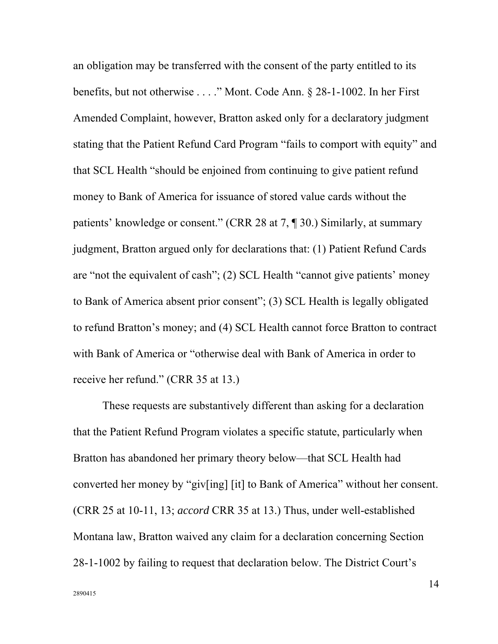an obligation may be transferred with the consent of the party entitled to its benefits, but not otherwise . . . ." Mont. Code Ann. § 28-1-1002. In her First Amended Complaint, however, Bratton asked only for a declaratory judgment stating that the Patient Refund Card Program "fails to comport with equity" and that SCL Health "should be enjoined from continuing to give patient refund money to Bank of America for issuance of stored value cards without the patients' knowledge or consent." (CRR 28 at 7, ¶ 30.) Similarly, at summary judgment, Bratton argued only for declarations that: (1) Patient Refund Cards are "not the equivalent of cash"; (2) SCL Health "cannot give patients' money to Bank of America absent prior consent"; (3) SCL Health is legally obligated to refund Bratton's money; and (4) SCL Health cannot force Bratton to contract with Bank of America or "otherwise deal with Bank of America in order to receive her refund." (CRR 35 at 13.)

These requests are substantively different than asking for a declaration that the Patient Refund Program violates a specific statute, particularly when Bratton has abandoned her primary theory below—that SCL Health had converted her money by "giv[ing] [it] to Bank of America" without her consent. (CRR 25 at 10-11, 13; *accord* CRR 35 at 13.) Thus, under well-established Montana law, Bratton waived any claim for a declaration concerning Section 28-1-1002 by failing to request that declaration below. The District Court's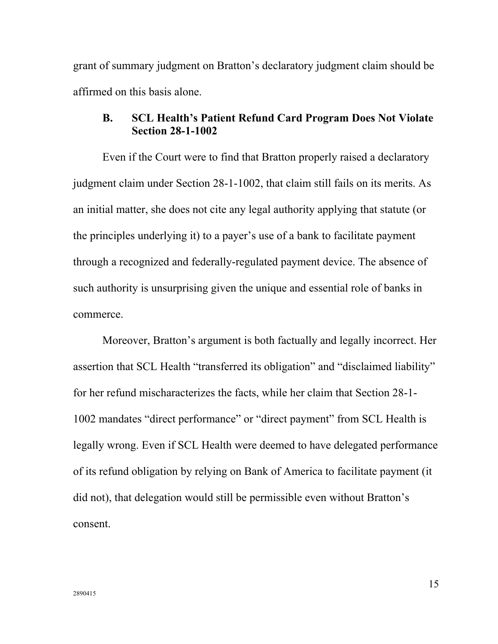grant of summary judgment on Bratton's declaratory judgment claim should be affirmed on this basis alone.

#### **B. SCL Health's Patient Refund Card Program Does Not Violate Section 28-1-1002**

Even if the Court were to find that Bratton properly raised a declaratory judgment claim under Section 28-1-1002, that claim still fails on its merits. As an initial matter, she does not cite any legal authority applying that statute (or the principles underlying it) to a payer's use of a bank to facilitate payment through a recognized and federally-regulated payment device. The absence of such authority is unsurprising given the unique and essential role of banks in commerce.

Moreover, Bratton's argument is both factually and legally incorrect. Her assertion that SCL Health "transferred its obligation" and "disclaimed liability" for her refund mischaracterizes the facts, while her claim that Section 28-1- 1002 mandates "direct performance" or "direct payment" from SCL Health is legally wrong. Even if SCL Health were deemed to have delegated performance of its refund obligation by relying on Bank of America to facilitate payment (it did not), that delegation would still be permissible even without Bratton's consent.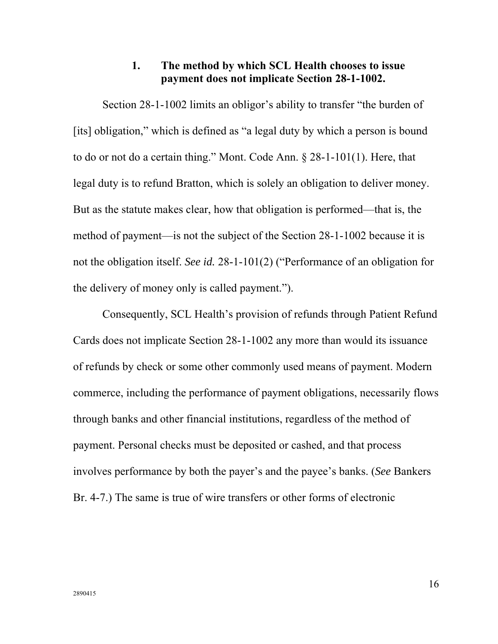## **1. The method by which SCL Health chooses to issue payment does not implicate Section 28-1-1002.**

Section 28-1-1002 limits an obligor's ability to transfer "the burden of [its] obligation," which is defined as "a legal duty by which a person is bound to do or not do a certain thing." Mont. Code Ann. § 28-1-101(1). Here, that legal duty is to refund Bratton, which is solely an obligation to deliver money. But as the statute makes clear, how that obligation is performed—that is, the method of payment—is not the subject of the Section 28-1-1002 because it is not the obligation itself. *See id.* 28-1-101(2) ("Performance of an obligation for the delivery of money only is called payment.").

Consequently, SCL Health's provision of refunds through Patient Refund Cards does not implicate Section 28-1-1002 any more than would its issuance of refunds by check or some other commonly used means of payment. Modern commerce, including the performance of payment obligations, necessarily flows through banks and other financial institutions, regardless of the method of payment. Personal checks must be deposited or cashed, and that process involves performance by both the payer's and the payee's banks. (*See* Bankers Br. 4-7.) The same is true of wire transfers or other forms of electronic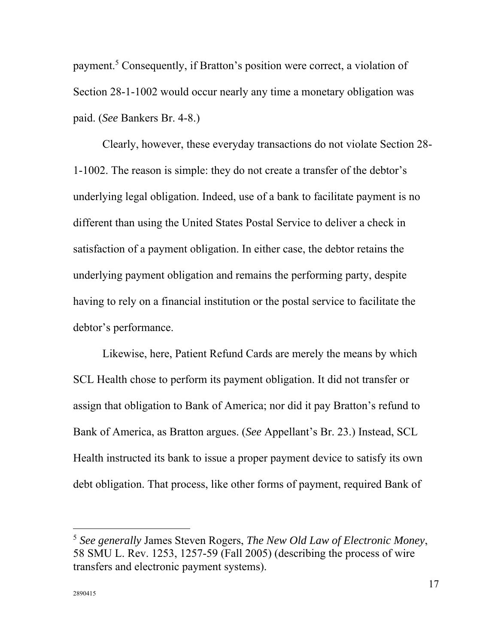payment.<sup>5</sup> Consequently, if Bratton's position were correct, a violation of Section 28-1-1002 would occur nearly any time a monetary obligation was paid. (*See* Bankers Br. 4-8.)

Clearly, however, these everyday transactions do not violate Section 28- 1-1002. The reason is simple: they do not create a transfer of the debtor's underlying legal obligation. Indeed, use of a bank to facilitate payment is no different than using the United States Postal Service to deliver a check in satisfaction of a payment obligation. In either case, the debtor retains the underlying payment obligation and remains the performing party, despite having to rely on a financial institution or the postal service to facilitate the debtor's performance.

Likewise, here, Patient Refund Cards are merely the means by which SCL Health chose to perform its payment obligation. It did not transfer or assign that obligation to Bank of America; nor did it pay Bratton's refund to Bank of America, as Bratton argues. (*See* Appellant's Br. 23.) Instead, SCL Health instructed its bank to issue a proper payment device to satisfy its own debt obligation. That process, like other forms of payment, required Bank of

<sup>5</sup> *See generally* James Steven Rogers, *The New Old Law of Electronic Money*, 58 SMU L. Rev. 1253, 1257-59 (Fall 2005) (describing the process of wire transfers and electronic payment systems).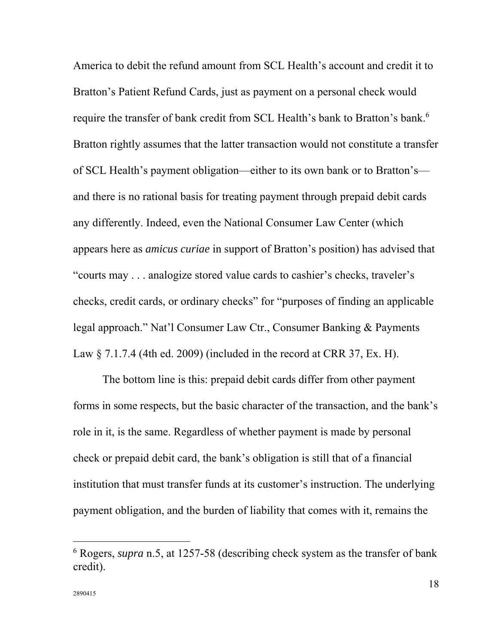America to debit the refund amount from SCL Health's account and credit it to Bratton's Patient Refund Cards, just as payment on a personal check would require the transfer of bank credit from SCL Health's bank to Bratton's bank.<sup>6</sup> Bratton rightly assumes that the latter transaction would not constitute a transfer of SCL Health's payment obligation—either to its own bank or to Bratton's and there is no rational basis for treating payment through prepaid debit cards any differently. Indeed, even the National Consumer Law Center (which appears here as *amicus curiae* in support of Bratton's position) has advised that "courts may . . . analogize stored value cards to cashier's checks, traveler's checks, credit cards, or ordinary checks" for "purposes of finding an applicable legal approach." Nat'l Consumer Law Ctr., Consumer Banking & Payments Law  $\S$  7.1.7.4 (4th ed. 2009) (included in the record at CRR 37, Ex. H).

The bottom line is this: prepaid debit cards differ from other payment forms in some respects, but the basic character of the transaction, and the bank's role in it, is the same. Regardless of whether payment is made by personal check or prepaid debit card, the bank's obligation is still that of a financial institution that must transfer funds at its customer's instruction. The underlying payment obligation, and the burden of liability that comes with it, remains the

<sup>6</sup> Rogers, *supra* n.5, at 1257-58 (describing check system as the transfer of bank credit).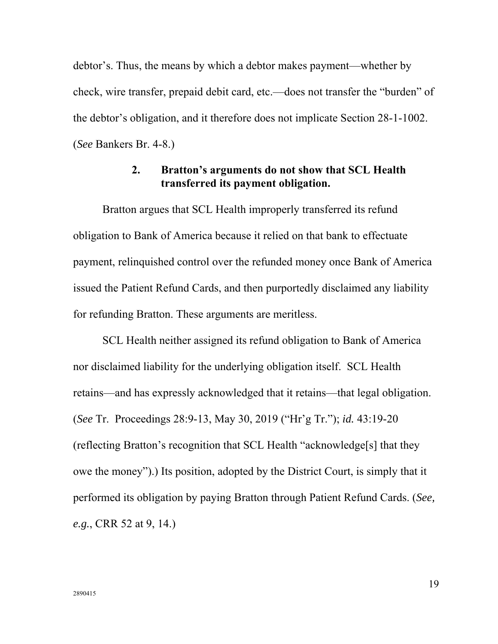debtor's. Thus, the means by which a debtor makes payment—whether by check, wire transfer, prepaid debit card, etc.—does not transfer the "burden" of the debtor's obligation, and it therefore does not implicate Section 28-1-1002. (*See* Bankers Br. 4-8.)

## **2. Bratton's arguments do not show that SCL Health transferred its payment obligation.**

Bratton argues that SCL Health improperly transferred its refund obligation to Bank of America because it relied on that bank to effectuate payment, relinquished control over the refunded money once Bank of America issued the Patient Refund Cards, and then purportedly disclaimed any liability for refunding Bratton. These arguments are meritless.

SCL Health neither assigned its refund obligation to Bank of America nor disclaimed liability for the underlying obligation itself. SCL Health retains—and has expressly acknowledged that it retains—that legal obligation. (*See* Tr. Proceedings 28:9-13, May 30, 2019 ("Hr'g Tr."); *id.* 43:19-20 (reflecting Bratton's recognition that SCL Health "acknowledge[s] that they owe the money").) Its position, adopted by the District Court, is simply that it performed its obligation by paying Bratton through Patient Refund Cards. (*See, e.g.*, CRR 52 at 9, 14.)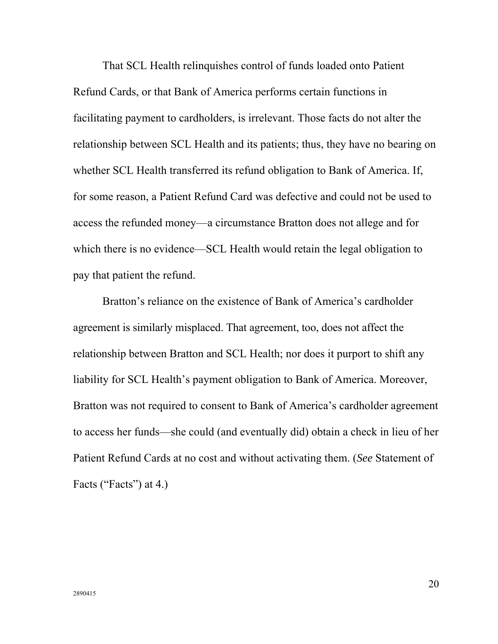That SCL Health relinquishes control of funds loaded onto Patient Refund Cards, or that Bank of America performs certain functions in facilitating payment to cardholders, is irrelevant. Those facts do not alter the relationship between SCL Health and its patients; thus, they have no bearing on whether SCL Health transferred its refund obligation to Bank of America. If, for some reason, a Patient Refund Card was defective and could not be used to access the refunded money—a circumstance Bratton does not allege and for which there is no evidence—SCL Health would retain the legal obligation to pay that patient the refund.

Bratton's reliance on the existence of Bank of America's cardholder agreement is similarly misplaced. That agreement, too, does not affect the relationship between Bratton and SCL Health; nor does it purport to shift any liability for SCL Health's payment obligation to Bank of America. Moreover, Bratton was not required to consent to Bank of America's cardholder agreement to access her funds—she could (and eventually did) obtain a check in lieu of her Patient Refund Cards at no cost and without activating them. (*See* Statement of Facts ("Facts") at 4.)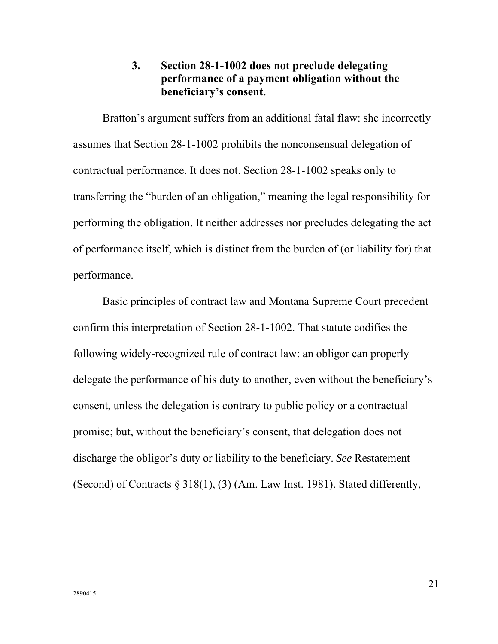## **3. Section 28-1-1002 does not preclude delegating performance of a payment obligation without the beneficiary's consent.**

Bratton's argument suffers from an additional fatal flaw: she incorrectly assumes that Section 28-1-1002 prohibits the nonconsensual delegation of contractual performance. It does not. Section 28-1-1002 speaks only to transferring the "burden of an obligation," meaning the legal responsibility for performing the obligation. It neither addresses nor precludes delegating the act of performance itself, which is distinct from the burden of (or liability for) that performance.

Basic principles of contract law and Montana Supreme Court precedent confirm this interpretation of Section 28-1-1002. That statute codifies the following widely-recognized rule of contract law: an obligor can properly delegate the performance of his duty to another, even without the beneficiary's consent, unless the delegation is contrary to public policy or a contractual promise; but, without the beneficiary's consent, that delegation does not discharge the obligor's duty or liability to the beneficiary. *See* Restatement (Second) of Contracts § 318(1), (3) (Am. Law Inst. 1981). Stated differently,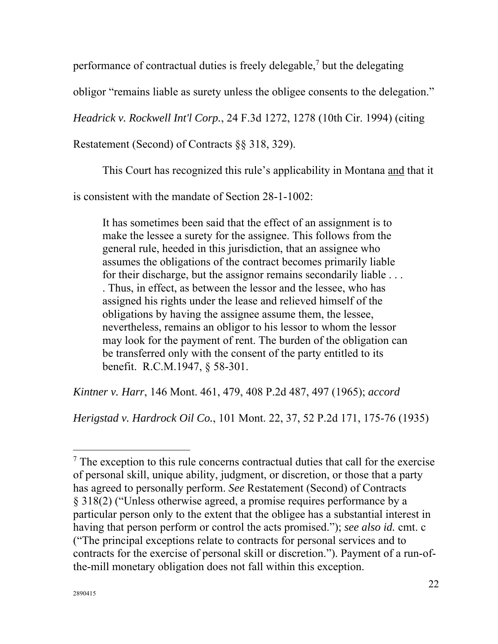performance of contractual duties is freely delegable, $<sup>7</sup>$  but the delegating</sup>

obligor "remains liable as surety unless the obligee consents to the delegation."

*Headrick v. Rockwell Int'l Corp.*, 24 F.3d 1272, 1278 (10th Cir. 1994) (citing

Restatement (Second) of Contracts §§ 318, 329).

This Court has recognized this rule's applicability in Montana and that it

is consistent with the mandate of Section 28-1-1002:

It has sometimes been said that the effect of an assignment is to make the lessee a surety for the assignee. This follows from the general rule, heeded in this jurisdiction, that an assignee who assumes the obligations of the contract becomes primarily liable for their discharge, but the assignor remains secondarily liable . . . . Thus, in effect, as between the lessor and the lessee, who has assigned his rights under the lease and relieved himself of the obligations by having the assignee assume them, the lessee, nevertheless, remains an obligor to his lessor to whom the lessor may look for the payment of rent. The burden of the obligation can be transferred only with the consent of the party entitled to its benefit. R.C.M.1947, § 58-301.

*Kintner v. Harr*, 146 Mont. 461, 479, 408 P.2d 487, 497 (1965); *accord* 

*Herigstad v. Hardrock Oil Co.*, 101 Mont. 22, 37, 52 P.2d 171, 175-76 (1935)

 $<sup>7</sup>$  The exception to this rule concerns contractual duties that call for the exercise</sup> of personal skill, unique ability, judgment, or discretion, or those that a party has agreed to personally perform. *See* Restatement (Second) of Contracts § 318(2) ("Unless otherwise agreed, a promise requires performance by a particular person only to the extent that the obligee has a substantial interest in having that person perform or control the acts promised."); *see also id.* cmt. c ("The principal exceptions relate to contracts for personal services and to contracts for the exercise of personal skill or discretion."). Payment of a run-ofthe-mill monetary obligation does not fall within this exception.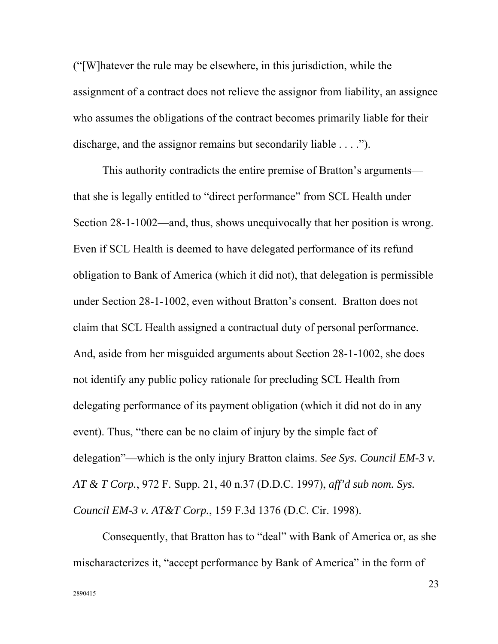("[W]hatever the rule may be elsewhere, in this jurisdiction, while the assignment of a contract does not relieve the assignor from liability, an assignee who assumes the obligations of the contract becomes primarily liable for their discharge, and the assignor remains but secondarily liable . . . .").

This authority contradicts the entire premise of Bratton's arguments that she is legally entitled to "direct performance" from SCL Health under Section 28-1-1002—and, thus, shows unequivocally that her position is wrong. Even if SCL Health is deemed to have delegated performance of its refund obligation to Bank of America (which it did not), that delegation is permissible under Section 28-1-1002, even without Bratton's consent. Bratton does not claim that SCL Health assigned a contractual duty of personal performance. And, aside from her misguided arguments about Section 28-1-1002, she does not identify any public policy rationale for precluding SCL Health from delegating performance of its payment obligation (which it did not do in any event). Thus, "there can be no claim of injury by the simple fact of delegation"—which is the only injury Bratton claims. *See Sys. Council EM-3 v. AT & T Corp.*, 972 F. Supp. 21, 40 n.37 (D.D.C. 1997), *aff'd sub nom. Sys. Council EM-3 v. AT&T Corp.*, 159 F.3d 1376 (D.C. Cir. 1998).

Consequently, that Bratton has to "deal" with Bank of America or, as she mischaracterizes it, "accept performance by Bank of America" in the form of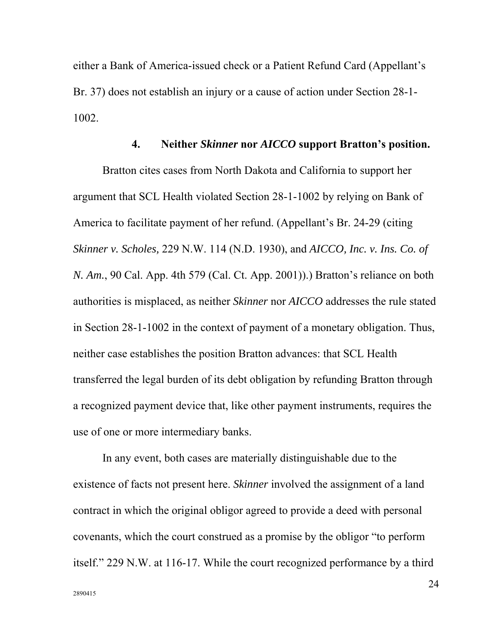either a Bank of America-issued check or a Patient Refund Card (Appellant's Br. 37) does not establish an injury or a cause of action under Section 28-1- 1002.

#### **4. Neither** *Skinner* **nor** *AICCO* **support Bratton's position.**

Bratton cites cases from North Dakota and California to support her argument that SCL Health violated Section 28-1-1002 by relying on Bank of America to facilitate payment of her refund. (Appellant's Br. 24-29 (citing *Skinner v. Scholes,* 229 N.W. 114 (N.D. 1930), and *AICCO, Inc. v. Ins. Co. of N. Am.*, 90 Cal. App. 4th 579 (Cal. Ct. App. 2001)).) Bratton's reliance on both authorities is misplaced, as neither *Skinner* nor *AICCO* addresses the rule stated in Section 28-1-1002 in the context of payment of a monetary obligation. Thus, neither case establishes the position Bratton advances: that SCL Health transferred the legal burden of its debt obligation by refunding Bratton through a recognized payment device that, like other payment instruments, requires the use of one or more intermediary banks.

In any event, both cases are materially distinguishable due to the existence of facts not present here. *Skinner* involved the assignment of a land contract in which the original obligor agreed to provide a deed with personal covenants, which the court construed as a promise by the obligor "to perform itself." 229 N.W. at 116-17. While the court recognized performance by a third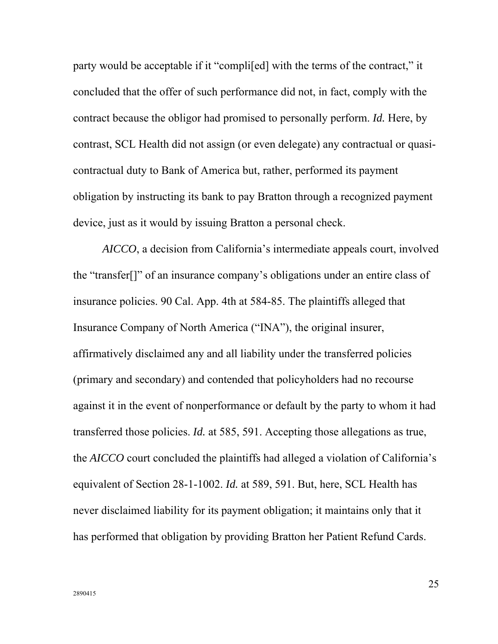party would be acceptable if it "compli[ed] with the terms of the contract," it concluded that the offer of such performance did not, in fact, comply with the contract because the obligor had promised to personally perform. *Id.* Here, by contrast, SCL Health did not assign (or even delegate) any contractual or quasicontractual duty to Bank of America but, rather, performed its payment obligation by instructing its bank to pay Bratton through a recognized payment device, just as it would by issuing Bratton a personal check.

*AICCO*, a decision from California's intermediate appeals court, involved the "transfer[]" of an insurance company's obligations under an entire class of insurance policies. 90 Cal. App. 4th at 584-85. The plaintiffs alleged that Insurance Company of North America ("INA"), the original insurer, affirmatively disclaimed any and all liability under the transferred policies (primary and secondary) and contended that policyholders had no recourse against it in the event of nonperformance or default by the party to whom it had transferred those policies. *Id.* at 585, 591. Accepting those allegations as true, the *AICCO* court concluded the plaintiffs had alleged a violation of California's equivalent of Section 28-1-1002. *Id.* at 589, 591. But, here, SCL Health has never disclaimed liability for its payment obligation; it maintains only that it has performed that obligation by providing Bratton her Patient Refund Cards.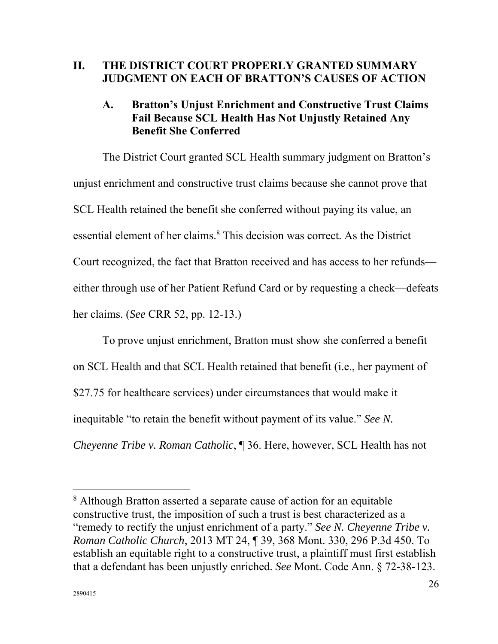### **II. THE DISTRICT COURT PROPERLY GRANTED SUMMARY JUDGMENT ON EACH OF BRATTON'S CAUSES OF ACTION**

## **A. Bratton's Unjust Enrichment and Constructive Trust Claims Fail Because SCL Health Has Not Unjustly Retained Any Benefit She Conferred**

The District Court granted SCL Health summary judgment on Bratton's unjust enrichment and constructive trust claims because she cannot prove that SCL Health retained the benefit she conferred without paying its value, an essential element of her claims.<sup>8</sup> This decision was correct. As the District Court recognized, the fact that Bratton received and has access to her refunds either through use of her Patient Refund Card or by requesting a check—defeats her claims. (*See* CRR 52, pp. 12-13.)

To prove unjust enrichment, Bratton must show she conferred a benefit on SCL Health and that SCL Health retained that benefit (i.e., her payment of \$27.75 for healthcare services) under circumstances that would make it inequitable "to retain the benefit without payment of its value." *See N. Cheyenne Tribe v. Roman Catholic*, ¶ 36. Here, however, SCL Health has not

<sup>&</sup>lt;sup>8</sup> Although Bratton asserted a separate cause of action for an equitable constructive trust, the imposition of such a trust is best characterized as a "remedy to rectify the unjust enrichment of a party." *See N. Cheyenne Tribe v. Roman Catholic Church*, 2013 MT 24, ¶ 39, 368 Mont. 330, 296 P.3d 450. To establish an equitable right to a constructive trust, a plaintiff must first establish that a defendant has been unjustly enriched. *See* Mont. Code Ann. § 72-38-123.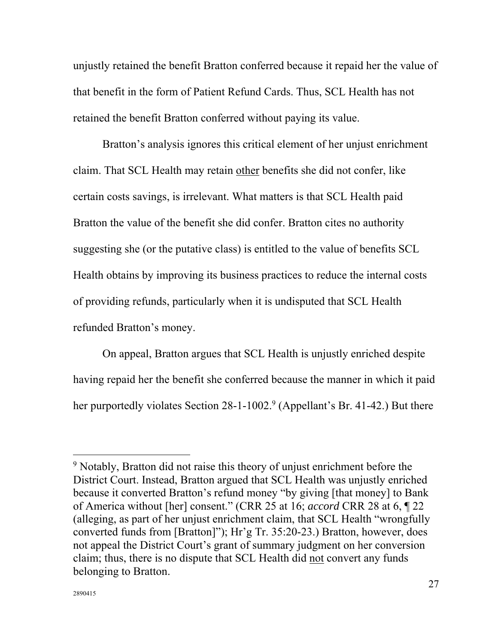unjustly retained the benefit Bratton conferred because it repaid her the value of that benefit in the form of Patient Refund Cards. Thus, SCL Health has not retained the benefit Bratton conferred without paying its value.

Bratton's analysis ignores this critical element of her unjust enrichment claim. That SCL Health may retain other benefits she did not confer, like certain costs savings, is irrelevant. What matters is that SCL Health paid Bratton the value of the benefit she did confer. Bratton cites no authority suggesting she (or the putative class) is entitled to the value of benefits SCL Health obtains by improving its business practices to reduce the internal costs of providing refunds, particularly when it is undisputed that SCL Health refunded Bratton's money.

On appeal, Bratton argues that SCL Health is unjustly enriched despite having repaid her the benefit she conferred because the manner in which it paid her purportedly violates Section 28-1-1002.<sup>9</sup> (Appellant's Br. 41-42.) But there

<sup>&</sup>lt;sup>9</sup> Notably, Bratton did not raise this theory of unjust enrichment before the District Court. Instead, Bratton argued that SCL Health was unjustly enriched because it converted Bratton's refund money "by giving [that money] to Bank of America without [her] consent." (CRR 25 at 16; *accord* CRR 28 at 6, ¶ 22 (alleging, as part of her unjust enrichment claim, that SCL Health "wrongfully converted funds from [Bratton]"); Hr'g Tr. 35:20-23.) Bratton, however, does not appeal the District Court's grant of summary judgment on her conversion claim; thus, there is no dispute that SCL Health did not convert any funds belonging to Bratton.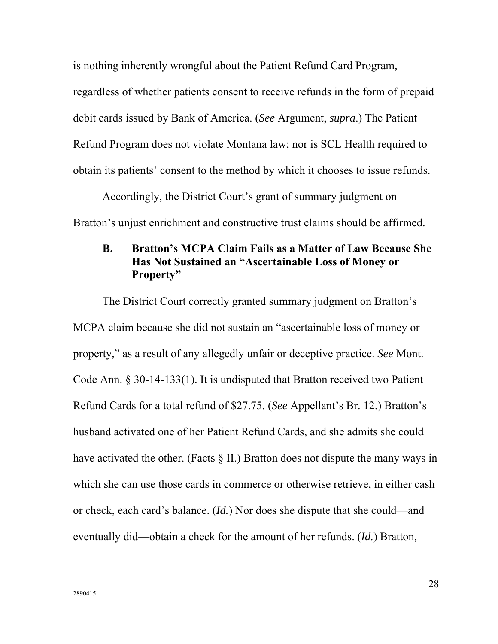is nothing inherently wrongful about the Patient Refund Card Program, regardless of whether patients consent to receive refunds in the form of prepaid debit cards issued by Bank of America. (*See* Argument, *supra*.) The Patient Refund Program does not violate Montana law; nor is SCL Health required to obtain its patients' consent to the method by which it chooses to issue refunds.

Accordingly, the District Court's grant of summary judgment on Bratton's unjust enrichment and constructive trust claims should be affirmed.

## **B. Bratton's MCPA Claim Fails as a Matter of Law Because She Has Not Sustained an "Ascertainable Loss of Money or Property"**

The District Court correctly granted summary judgment on Bratton's MCPA claim because she did not sustain an "ascertainable loss of money or property," as a result of any allegedly unfair or deceptive practice. *See* Mont. Code Ann. § 30-14-133(1). It is undisputed that Bratton received two Patient Refund Cards for a total refund of \$27.75. (*See* Appellant's Br. 12.) Bratton's husband activated one of her Patient Refund Cards, and she admits she could have activated the other. (Facts § II.) Bratton does not dispute the many ways in which she can use those cards in commerce or otherwise retrieve, in either cash or check, each card's balance. (*Id.*) Nor does she dispute that she could—and eventually did—obtain a check for the amount of her refunds. (*Id.*) Bratton,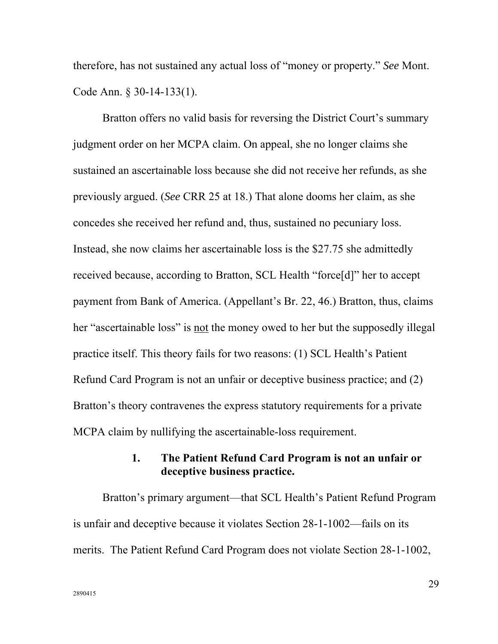therefore, has not sustained any actual loss of "money or property." *See* Mont. Code Ann. § 30-14-133(1).

Bratton offers no valid basis for reversing the District Court's summary judgment order on her MCPA claim. On appeal, she no longer claims she sustained an ascertainable loss because she did not receive her refunds, as she previously argued. (*See* CRR 25 at 18.) That alone dooms her claim, as she concedes she received her refund and, thus, sustained no pecuniary loss. Instead, she now claims her ascertainable loss is the \$27.75 she admittedly received because, according to Bratton, SCL Health "force[d]" her to accept payment from Bank of America. (Appellant's Br. 22, 46.) Bratton, thus, claims her "ascertainable loss" is not the money owed to her but the supposedly illegal practice itself. This theory fails for two reasons: (1) SCL Health's Patient Refund Card Program is not an unfair or deceptive business practice; and (2) Bratton's theory contravenes the express statutory requirements for a private MCPA claim by nullifying the ascertainable-loss requirement.

## **1. The Patient Refund Card Program is not an unfair or deceptive business practice.**

Bratton's primary argument—that SCL Health's Patient Refund Program is unfair and deceptive because it violates Section 28-1-1002—fails on its merits. The Patient Refund Card Program does not violate Section 28-1-1002,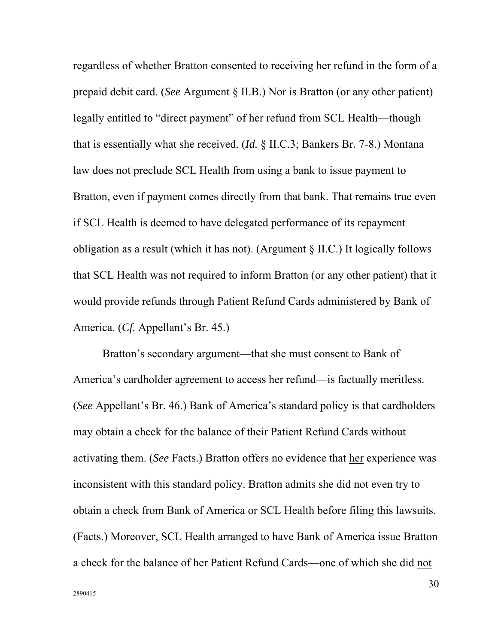regardless of whether Bratton consented to receiving her refund in the form of a prepaid debit card. (*See* Argument § II.B.) Nor is Bratton (or any other patient) legally entitled to "direct payment" of her refund from SCL Health—though that is essentially what she received. (*Id.* § II.C.3; Bankers Br. 7-8.) Montana law does not preclude SCL Health from using a bank to issue payment to Bratton, even if payment comes directly from that bank. That remains true even if SCL Health is deemed to have delegated performance of its repayment obligation as a result (which it has not). (Argument § II.C.) It logically follows that SCL Health was not required to inform Bratton (or any other patient) that it would provide refunds through Patient Refund Cards administered by Bank of America. (*Cf.* Appellant's Br. 45.)

Bratton's secondary argument—that she must consent to Bank of America's cardholder agreement to access her refund—is factually meritless. (*See* Appellant's Br. 46.) Bank of America's standard policy is that cardholders may obtain a check for the balance of their Patient Refund Cards without activating them. (*See* Facts.) Bratton offers no evidence that her experience was inconsistent with this standard policy. Bratton admits she did not even try to obtain a check from Bank of America or SCL Health before filing this lawsuits. (Facts.) Moreover, SCL Health arranged to have Bank of America issue Bratton a check for the balance of her Patient Refund Cards—one of which she did not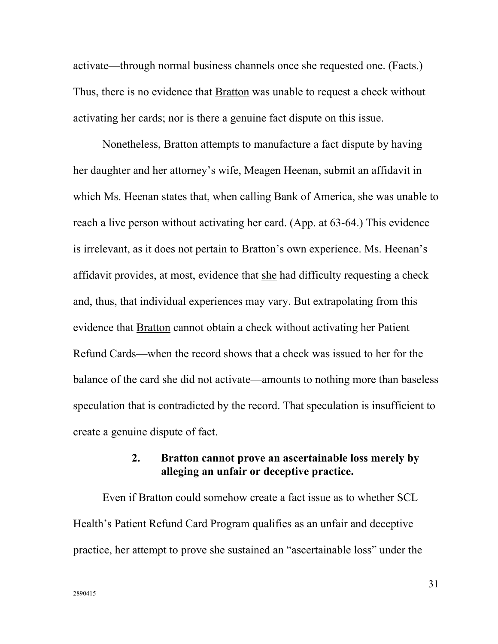activate—through normal business channels once she requested one. (Facts.) Thus, there is no evidence that Bratton was unable to request a check without activating her cards; nor is there a genuine fact dispute on this issue.

Nonetheless, Bratton attempts to manufacture a fact dispute by having her daughter and her attorney's wife, Meagen Heenan, submit an affidavit in which Ms. Heenan states that, when calling Bank of America, she was unable to reach a live person without activating her card. (App. at 63-64.) This evidence is irrelevant, as it does not pertain to Bratton's own experience. Ms. Heenan's affidavit provides, at most, evidence that she had difficulty requesting a check and, thus, that individual experiences may vary. But extrapolating from this evidence that Bratton cannot obtain a check without activating her Patient Refund Cards—when the record shows that a check was issued to her for the balance of the card she did not activate—amounts to nothing more than baseless speculation that is contradicted by the record. That speculation is insufficient to create a genuine dispute of fact.

### **2. Bratton cannot prove an ascertainable loss merely by alleging an unfair or deceptive practice.**

Even if Bratton could somehow create a fact issue as to whether SCL Health's Patient Refund Card Program qualifies as an unfair and deceptive practice, her attempt to prove she sustained an "ascertainable loss" under the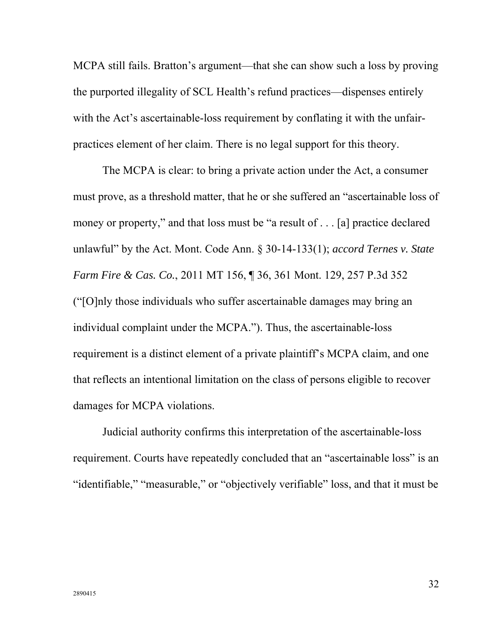MCPA still fails. Bratton's argument—that she can show such a loss by proving the purported illegality of SCL Health's refund practices—dispenses entirely with the Act's ascertainable-loss requirement by conflating it with the unfairpractices element of her claim. There is no legal support for this theory.

The MCPA is clear: to bring a private action under the Act, a consumer must prove, as a threshold matter, that he or she suffered an "ascertainable loss of money or property," and that loss must be "a result of . . . [a] practice declared unlawful" by the Act. Mont. Code Ann. § 30-14-133(1); *accord Ternes v. State Farm Fire & Cas. Co.*, 2011 MT 156, ¶ 36, 361 Mont. 129, 257 P.3d 352 ("[O]nly those individuals who suffer ascertainable damages may bring an individual complaint under the MCPA."). Thus, the ascertainable-loss requirement is a distinct element of a private plaintiff's MCPA claim, and one that reflects an intentional limitation on the class of persons eligible to recover damages for MCPA violations.

Judicial authority confirms this interpretation of the ascertainable-loss requirement. Courts have repeatedly concluded that an "ascertainable loss" is an "identifiable," "measurable," or "objectively verifiable" loss, and that it must be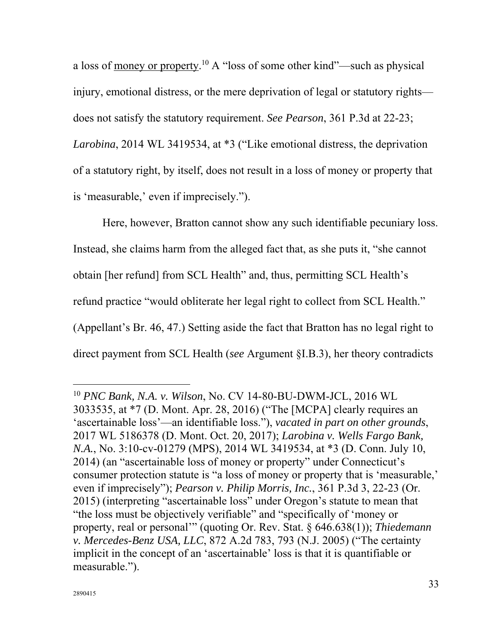a loss of money or property.10 A "loss of some other kind"—such as physical injury, emotional distress, or the mere deprivation of legal or statutory rights does not satisfy the statutory requirement. *See Pearson*, 361 P.3d at 22-23; *Larobina*, 2014 WL 3419534, at \*3 ("Like emotional distress, the deprivation of a statutory right, by itself, does not result in a loss of money or property that is 'measurable,' even if imprecisely.").

Here, however, Bratton cannot show any such identifiable pecuniary loss. Instead, she claims harm from the alleged fact that, as she puts it, "she cannot obtain [her refund] from SCL Health" and, thus, permitting SCL Health's refund practice "would obliterate her legal right to collect from SCL Health." (Appellant's Br. 46, 47.) Setting aside the fact that Bratton has no legal right to direct payment from SCL Health (*see* Argument §I.B.3), her theory contradicts

<sup>10</sup> *PNC Bank, N.A. v. Wilson*, No. CV 14-80-BU-DWM-JCL, 2016 WL 3033535, at \*7 (D. Mont. Apr. 28, 2016) ("The [MCPA] clearly requires an 'ascertainable loss'—an identifiable loss."), *vacated in part on other grounds*, 2017 WL 5186378 (D. Mont. Oct. 20, 2017); *Larobina v. Wells Fargo Bank, N.A.*, No. 3:10-cv-01279 (MPS), 2014 WL 3419534, at \*3 (D. Conn. July 10, 2014) (an "ascertainable loss of money or property" under Connecticut's consumer protection statute is "a loss of money or property that is 'measurable,' even if imprecisely"); *Pearson v. Philip Morris, Inc.*, 361 P.3d 3, 22-23 (Or. 2015) (interpreting "ascertainable loss" under Oregon's statute to mean that "the loss must be objectively verifiable" and "specifically of 'money or property, real or personal'" (quoting Or. Rev. Stat. § 646.638(1)); *Thiedemann v. Mercedes-Benz USA, LLC*, 872 A.2d 783, 793 (N.J. 2005) ("The certainty implicit in the concept of an 'ascertainable' loss is that it is quantifiable or measurable.").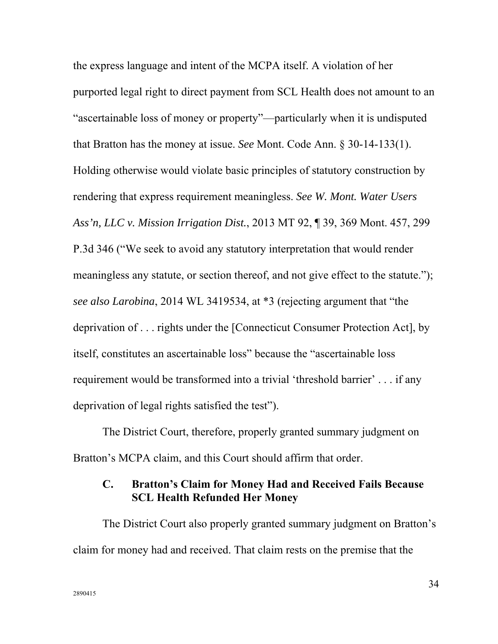the express language and intent of the MCPA itself. A violation of her purported legal right to direct payment from SCL Health does not amount to an "ascertainable loss of money or property"—particularly when it is undisputed that Bratton has the money at issue. *See* Mont. Code Ann. § 30-14-133(1). Holding otherwise would violate basic principles of statutory construction by rendering that express requirement meaningless. *See W. Mont. Water Users Ass'n, LLC v. Mission Irrigation Dist.*, 2013 MT 92, ¶ 39, 369 Mont. 457, 299 P.3d 346 ("We seek to avoid any statutory interpretation that would render meaningless any statute, or section thereof, and not give effect to the statute."); *see also Larobina*, 2014 WL 3419534, at \*3 (rejecting argument that "the deprivation of . . . rights under the [Connecticut Consumer Protection Act], by itself, constitutes an ascertainable loss" because the "ascertainable loss requirement would be transformed into a trivial 'threshold barrier' . . . if any deprivation of legal rights satisfied the test").

The District Court, therefore, properly granted summary judgment on Bratton's MCPA claim, and this Court should affirm that order.

## **C. Bratton's Claim for Money Had and Received Fails Because SCL Health Refunded Her Money**

The District Court also properly granted summary judgment on Bratton's claim for money had and received. That claim rests on the premise that the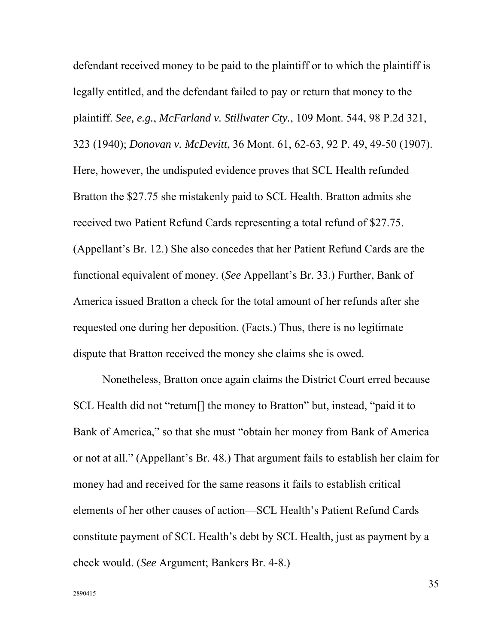defendant received money to be paid to the plaintiff or to which the plaintiff is legally entitled, and the defendant failed to pay or return that money to the plaintiff. *See, e.g.*, *McFarland v. Stillwater Cty.*, 109 Mont. 544, 98 P.2d 321, 323 (1940); *Donovan v. McDevitt*, 36 Mont. 61, 62-63, 92 P. 49, 49-50 (1907). Here, however, the undisputed evidence proves that SCL Health refunded Bratton the \$27.75 she mistakenly paid to SCL Health. Bratton admits she received two Patient Refund Cards representing a total refund of \$27.75. (Appellant's Br. 12.) She also concedes that her Patient Refund Cards are the functional equivalent of money. (*See* Appellant's Br. 33.) Further, Bank of America issued Bratton a check for the total amount of her refunds after she requested one during her deposition. (Facts.) Thus, there is no legitimate dispute that Bratton received the money she claims she is owed.

Nonetheless, Bratton once again claims the District Court erred because SCL Health did not "return<sup>[]</sup> the money to Bratton" but, instead, "paid it to Bank of America," so that she must "obtain her money from Bank of America or not at all." (Appellant's Br. 48.) That argument fails to establish her claim for money had and received for the same reasons it fails to establish critical elements of her other causes of action—SCL Health's Patient Refund Cards constitute payment of SCL Health's debt by SCL Health, just as payment by a check would. (*See* Argument; Bankers Br. 4-8.)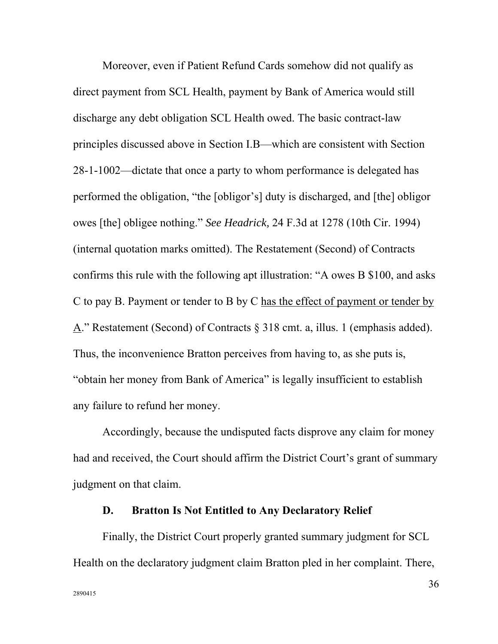Moreover, even if Patient Refund Cards somehow did not qualify as direct payment from SCL Health, payment by Bank of America would still discharge any debt obligation SCL Health owed. The basic contract-law principles discussed above in Section I.B—which are consistent with Section 28-1-1002—dictate that once a party to whom performance is delegated has performed the obligation, "the [obligor's] duty is discharged, and [the] obligor owes [the] obligee nothing." *See Headrick,* 24 F.3d at 1278 (10th Cir. 1994) (internal quotation marks omitted). The Restatement (Second) of Contracts confirms this rule with the following apt illustration: "A owes B \$100, and asks C to pay B. Payment or tender to B by C has the effect of payment or tender by A." Restatement (Second) of Contracts § 318 cmt. a, illus. 1 (emphasis added). Thus, the inconvenience Bratton perceives from having to, as she puts is, "obtain her money from Bank of America" is legally insufficient to establish any failure to refund her money.

Accordingly, because the undisputed facts disprove any claim for money had and received, the Court should affirm the District Court's grant of summary judgment on that claim.

#### **D. Bratton Is Not Entitled to Any Declaratory Relief**

Finally, the District Court properly granted summary judgment for SCL Health on the declaratory judgment claim Bratton pled in her complaint. There,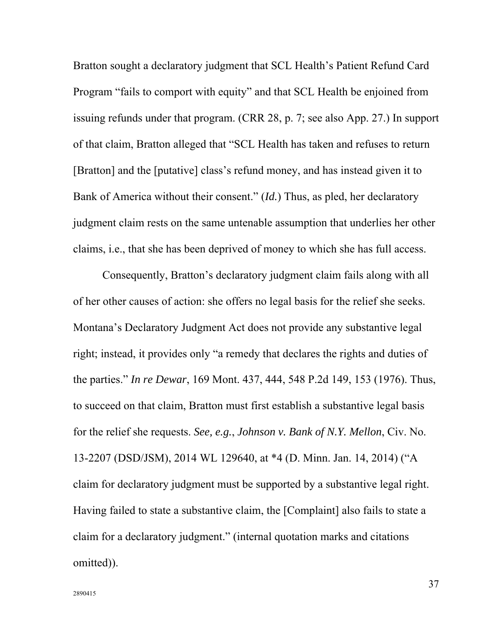Bratton sought a declaratory judgment that SCL Health's Patient Refund Card Program "fails to comport with equity" and that SCL Health be enjoined from issuing refunds under that program. (CRR 28, p. 7; see also App. 27.) In support of that claim, Bratton alleged that "SCL Health has taken and refuses to return [Bratton] and the [putative] class's refund money, and has instead given it to Bank of America without their consent." (*Id.*) Thus, as pled, her declaratory judgment claim rests on the same untenable assumption that underlies her other claims, i.e., that she has been deprived of money to which she has full access.

Consequently, Bratton's declaratory judgment claim fails along with all of her other causes of action: she offers no legal basis for the relief she seeks. Montana's Declaratory Judgment Act does not provide any substantive legal right; instead, it provides only "a remedy that declares the rights and duties of the parties." *In re Dewar*, 169 Mont. 437, 444, 548 P.2d 149, 153 (1976). Thus, to succeed on that claim, Bratton must first establish a substantive legal basis for the relief she requests. *See, e.g.*, *Johnson v. Bank of N.Y. Mellon*, Civ. No. 13-2207 (DSD/JSM), 2014 WL 129640, at \*4 (D. Minn. Jan. 14, 2014) ("A claim for declaratory judgment must be supported by a substantive legal right. Having failed to state a substantive claim, the [Complaint] also fails to state a claim for a declaratory judgment." (internal quotation marks and citations omitted)).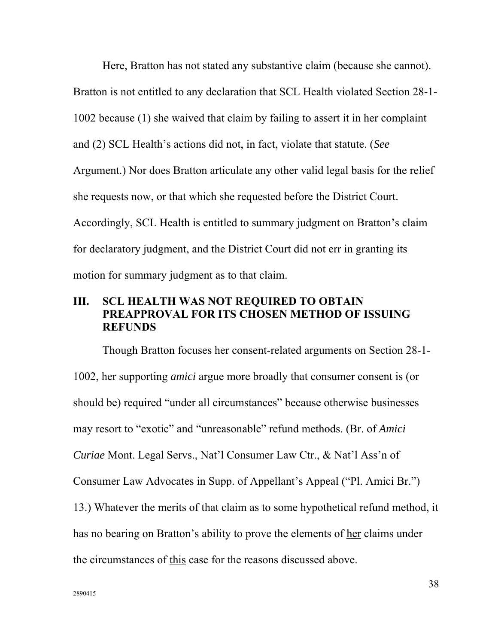Here, Bratton has not stated any substantive claim (because she cannot). Bratton is not entitled to any declaration that SCL Health violated Section 28-1- 1002 because (1) she waived that claim by failing to assert it in her complaint and (2) SCL Health's actions did not, in fact, violate that statute. (*See* Argument.) Nor does Bratton articulate any other valid legal basis for the relief she requests now, or that which she requested before the District Court. Accordingly, SCL Health is entitled to summary judgment on Bratton's claim for declaratory judgment, and the District Court did not err in granting its motion for summary judgment as to that claim.

## **III. SCL HEALTH WAS NOT REQUIRED TO OBTAIN PREAPPROVAL FOR ITS CHOSEN METHOD OF ISSUING REFUNDS**

Though Bratton focuses her consent-related arguments on Section 28-1- 1002, her supporting *amici* argue more broadly that consumer consent is (or should be) required "under all circumstances" because otherwise businesses may resort to "exotic" and "unreasonable" refund methods. (Br. of *Amici Curiae* Mont. Legal Servs., Nat'l Consumer Law Ctr., & Nat'l Ass'n of Consumer Law Advocates in Supp. of Appellant's Appeal ("Pl. Amici Br.") 13.) Whatever the merits of that claim as to some hypothetical refund method, it has no bearing on Bratton's ability to prove the elements of her claims under the circumstances of this case for the reasons discussed above.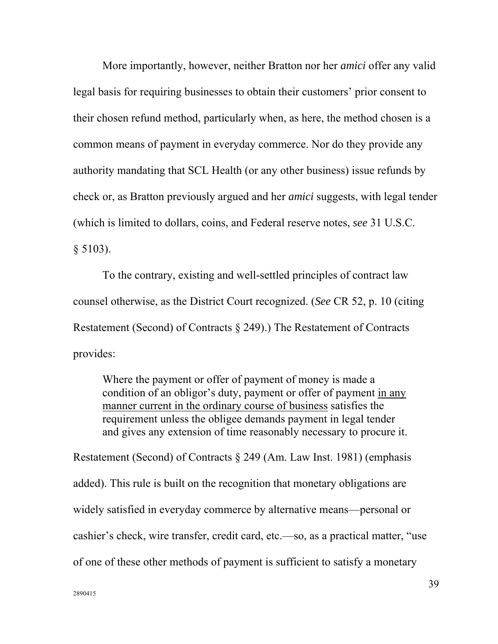More importantly, however, neither Bratton nor her *amici* offer any valid legal basis for requiring businesses to obtain their customers' prior consent to their chosen refund method, particularly when, as here, the method chosen is a common means of payment in everyday commerce. Nor do they provide any authority mandating that SCL Health (or any other business) issue refunds by check or, as Bratton previously argued and her *amici* suggests, with legal tender (which is limited to dollars, coins, and Federal reserve notes, *see* 31 U.S.C.  $§ 5103$ ).

To the contrary, existing and well-settled principles of contract law counsel otherwise, as the District Court recognized. (*See* CR 52, p. 10 (citing Restatement (Second) of Contracts § 249).) The Restatement of Contracts provides:

Where the payment or offer of payment of money is made a condition of an obligor's duty, payment or offer of payment in any manner current in the ordinary course of business satisfies the requirement unless the obligee demands payment in legal tender and gives any extension of time reasonably necessary to procure it.

Restatement (Second) of Contracts § 249 (Am. Law Inst. 1981) (emphasis added). This rule is built on the recognition that monetary obligations are widely satisfied in everyday commerce by alternative means—personal or cashier's check, wire transfer, credit card, etc.—so, as a practical matter, "use of one of these other methods of payment is sufficient to satisfy a monetary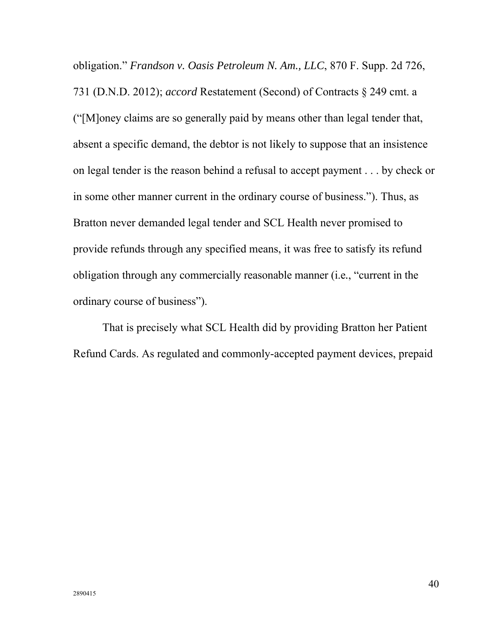obligation." *Frandson v. Oasis Petroleum N. Am., LLC*, 870 F. Supp. 2d 726, 731 (D.N.D. 2012); *accord* Restatement (Second) of Contracts § 249 cmt. a ("[M]oney claims are so generally paid by means other than legal tender that, absent a specific demand, the debtor is not likely to suppose that an insistence on legal tender is the reason behind a refusal to accept payment . . . by check or in some other manner current in the ordinary course of business."). Thus, as Bratton never demanded legal tender and SCL Health never promised to provide refunds through any specified means, it was free to satisfy its refund obligation through any commercially reasonable manner (i.e*.*, "current in the ordinary course of business").

That is precisely what SCL Health did by providing Bratton her Patient Refund Cards. As regulated and commonly-accepted payment devices, prepaid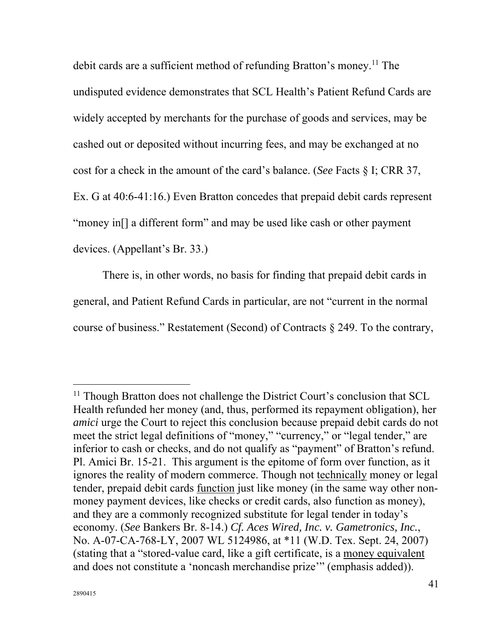debit cards are a sufficient method of refunding Bratton's money.<sup>11</sup> The undisputed evidence demonstrates that SCL Health's Patient Refund Cards are widely accepted by merchants for the purchase of goods and services, may be cashed out or deposited without incurring fees, and may be exchanged at no cost for a check in the amount of the card's balance. (*See* Facts § I; CRR 37, Ex. G at 40:6-41:16.) Even Bratton concedes that prepaid debit cards represent "money in<sup>[]</sup> a different form" and may be used like cash or other payment devices. (Appellant's Br. 33.)

There is, in other words, no basis for finding that prepaid debit cards in general, and Patient Refund Cards in particular, are not "current in the normal course of business." Restatement (Second) of Contracts § 249. To the contrary,

<sup>&</sup>lt;sup>11</sup> Though Bratton does not challenge the District Court's conclusion that SCL Health refunded her money (and, thus, performed its repayment obligation), her *amici* urge the Court to reject this conclusion because prepaid debit cards do not meet the strict legal definitions of "money," "currency," or "legal tender," are inferior to cash or checks, and do not qualify as "payment" of Bratton's refund. Pl. Amici Br. 15-21. This argument is the epitome of form over function, as it ignores the reality of modern commerce. Though not technically money or legal tender, prepaid debit cards function just like money (in the same way other nonmoney payment devices, like checks or credit cards, also function as money), and they are a commonly recognized substitute for legal tender in today's economy. (*See* Bankers Br. 8-14.) *Cf. Aces Wired, Inc. v. Gametronics, Inc.*, No. A-07-CA-768-LY, 2007 WL 5124986, at \*11 (W.D. Tex. Sept. 24, 2007) (stating that a "stored-value card, like a gift certificate, is a money equivalent and does not constitute a 'noncash merchandise prize'" (emphasis added)).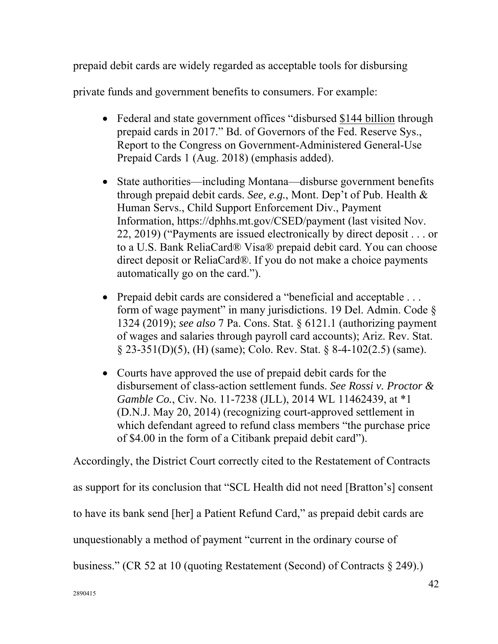prepaid debit cards are widely regarded as acceptable tools for disbursing

private funds and government benefits to consumers. For example:

- Federal and state government offices "disbursed \$144 billion through prepaid cards in 2017." Bd. of Governors of the Fed. Reserve Sys., Report to the Congress on Government-Administered General-Use Prepaid Cards 1 (Aug. 2018) (emphasis added).
- State authorities—including Montana—disburse government benefits through prepaid debit cards. *See, e.g.*, Mont. Dep't of Pub. Health & Human Servs., Child Support Enforcement Div., Payment Information, https://dphhs.mt.gov/CSED/payment (last visited Nov. 22, 2019) ("Payments are issued electronically by direct deposit . . . or to a U.S. Bank ReliaCard® Visa® prepaid debit card. You can choose direct deposit or ReliaCard®. If you do not make a choice payments automatically go on the card.").
- Prepaid debit cards are considered a "beneficial and acceptable . . . form of wage payment" in many jurisdictions. 19 Del. Admin. Code § 1324 (2019); *see also* 7 Pa. Cons. Stat. § 6121.1 (authorizing payment of wages and salaries through payroll card accounts); Ariz. Rev. Stat. § 23-351(D)(5), (H) (same); Colo. Rev. Stat. § 8-4-102(2.5) (same).
- Courts have approved the use of prepaid debit cards for the disbursement of class-action settlement funds. *See Rossi v. Proctor & Gamble Co.*, Civ. No. 11-7238 (JLL), 2014 WL 11462439, at \*1 (D.N.J. May 20, 2014) (recognizing court-approved settlement in which defendant agreed to refund class members "the purchase price of \$4.00 in the form of a Citibank prepaid debit card").

Accordingly, the District Court correctly cited to the Restatement of Contracts as support for its conclusion that "SCL Health did not need [Bratton's] consent to have its bank send [her] a Patient Refund Card," as prepaid debit cards are unquestionably a method of payment "current in the ordinary course of business." (CR 52 at 10 (quoting Restatement (Second) of Contracts § 249).)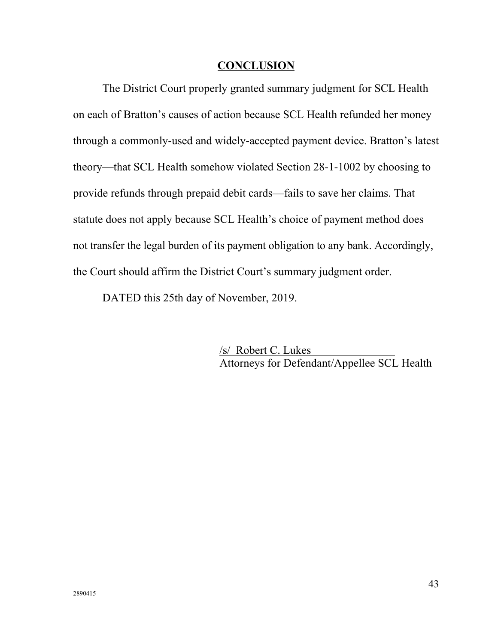#### **CONCLUSION**

The District Court properly granted summary judgment for SCL Health on each of Bratton's causes of action because SCL Health refunded her money through a commonly-used and widely-accepted payment device. Bratton's latest theory—that SCL Health somehow violated Section 28-1-1002 by choosing to provide refunds through prepaid debit cards—fails to save her claims. That statute does not apply because SCL Health's choice of payment method does not transfer the legal burden of its payment obligation to any bank. Accordingly, the Court should affirm the District Court's summary judgment order.

DATED this 25th day of November, 2019.

 /s/ Robert C. Lukes Attorneys for Defendant/Appellee SCL Health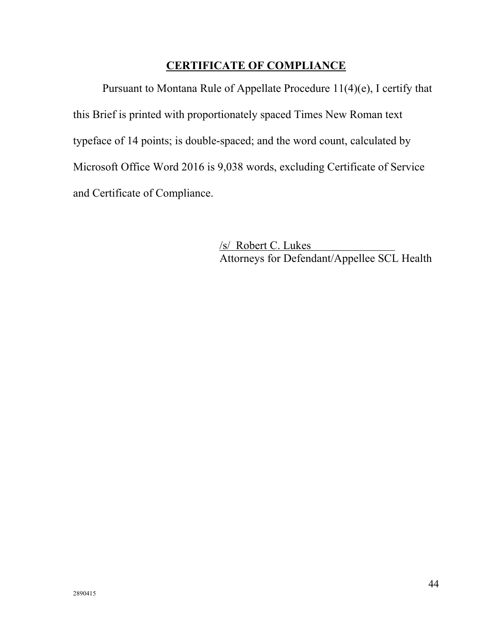### **CERTIFICATE OF COMPLIANCE**

Pursuant to Montana Rule of Appellate Procedure 11(4)(e), I certify that this Brief is printed with proportionately spaced Times New Roman text typeface of 14 points; is double-spaced; and the word count, calculated by Microsoft Office Word 2016 is 9,038 words, excluding Certificate of Service and Certificate of Compliance.

> /s/ Robert C. Lukes Attorneys for Defendant/Appellee SCL Health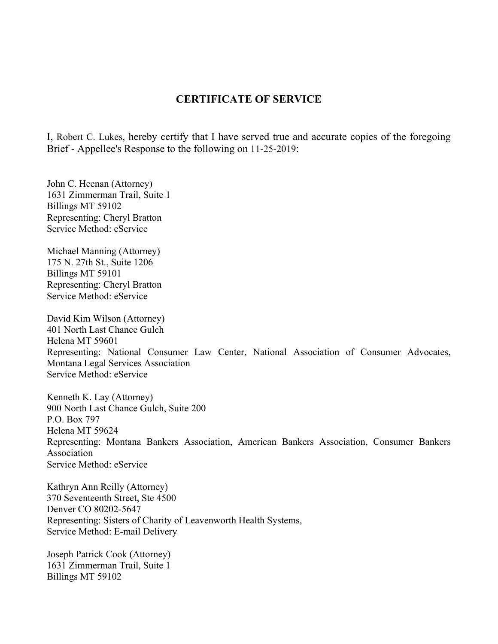#### **CERTIFICATE OF SERVICE**

I, Robert C. Lukes, hereby certify that I have served true and accurate copies of the foregoing Brief - Appellee's Response to the following on 11-25-2019:

John C. Heenan (Attorney) 1631 Zimmerman Trail, Suite 1 Billings MT 59102 Representing: Cheryl Bratton Service Method: eService

Michael Manning (Attorney) 175 N. 27th St., Suite 1206 Billings MT 59101 Representing: Cheryl Bratton Service Method: eService

David Kim Wilson (Attorney) 401 North Last Chance Gulch Helena MT 59601 Representing: National Consumer Law Center, National Association of Consumer Advocates, Montana Legal Services Association Service Method: eService

Kenneth K. Lay (Attorney) 900 North Last Chance Gulch, Suite 200 P.O. Box 797 Helena MT 59624 Representing: Montana Bankers Association, American Bankers Association, Consumer Bankers Association Service Method: eService

Kathryn Ann Reilly (Attorney) 370 Seventeenth Street, Ste 4500 Denver CO 80202-5647 Representing: Sisters of Charity of Leavenworth Health Systems, Service Method: E-mail Delivery

Joseph Patrick Cook (Attorney) 1631 Zimmerman Trail, Suite 1 Billings MT 59102